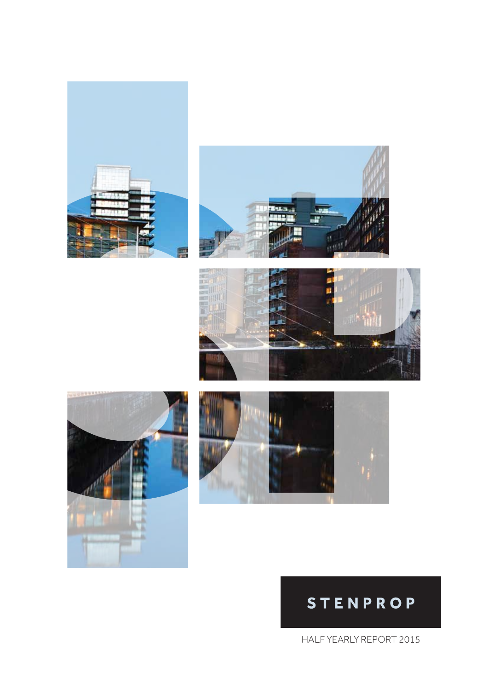









# **STENPROP**

HALF YEARLY REPORT 2015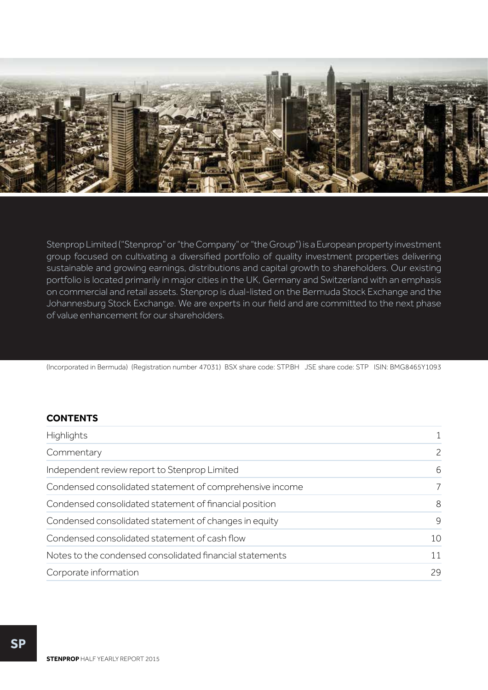

Stenprop Limited ("Stenprop" or "the Company" or "the Group") is a European property investment group focused on cultivating a diversified portfolio of quality investment properties delivering sustainable and growing earnings, distributions and capital growth to shareholders. Our existing portfolio is located primarily in major cities in the UK, Germany and Switzerland with an emphasis on commercial and retail assets. Stenprop is dual-listed on the Bermuda Stock Exchange and the Johannesburg Stock Exchange. We are experts in our field and are committed to the next phase of value enhancement for our shareholders.

(Incorporated in Bermuda) (Registration number 47031) BSX share code: STP.BH JSE share code: STP ISIN: BMG8465Y1093

## **CONTENTS**

| Highlights                                               | 1             |
|----------------------------------------------------------|---------------|
| Commentary                                               | $\mathcal{P}$ |
| Independent review report to Stenprop Limited            | 6             |
| Condensed consolidated statement of comprehensive income | 7             |
| Condensed consolidated statement of financial position   | 8             |
| Condensed consolidated statement of changes in equity    | 9             |
| Condensed consolidated statement of cash flow            | 10            |
| Notes to the condensed consolidated financial statements | 11            |
| Corporate information                                    | 29            |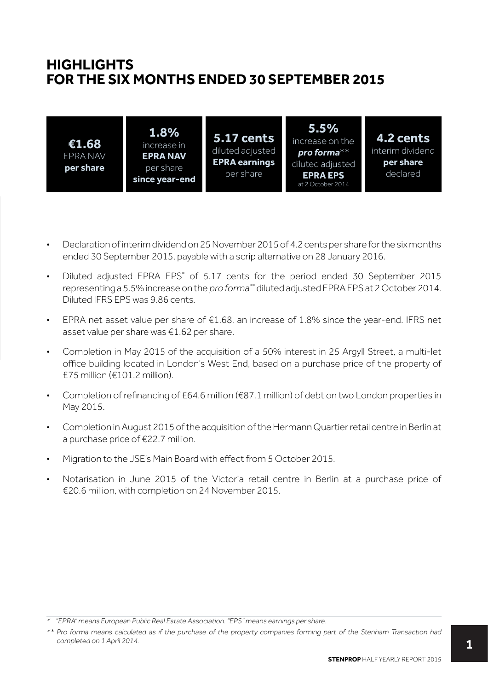## **HIGHLIGHTS FOR THE SIX MONTHS ENDED 30 SEPTEMBER 2015**

| 1.8%<br>€1.68<br>increase in<br><b>EPRA NAV</b><br>EPRA NAV<br>per share<br>per share<br>since year-end | <b>5.17 cents</b><br>diluted adjusted<br><b>EPRA earnings</b><br>per share | 5.5%<br>increase on the<br>pro forma $**$<br>diluted adjusted<br><b>EPRA EPS</b><br>at 2 October 2014 | 4.2 cents<br>interim dividend<br>per share<br>declared |
|---------------------------------------------------------------------------------------------------------|----------------------------------------------------------------------------|-------------------------------------------------------------------------------------------------------|--------------------------------------------------------|
|---------------------------------------------------------------------------------------------------------|----------------------------------------------------------------------------|-------------------------------------------------------------------------------------------------------|--------------------------------------------------------|

- Declaration of interim dividend on 25 November 2015 of 4.2 cents per share for the six months ended 30 September 2015, payable with a scrip alternative on 28 January 2016.
- Diluted adjusted EPRA EPS<sup>\*</sup> of 5.17 cents for the period ended 30 September 2015 representing a 5.5% increase on the pro forma\*\* diluted adjusted EPRA EPS at 2 October 2014. Diluted IFRS EPS was 9.86 cents.
- EPRA net asset value per share of  $£1.68$ , an increase of 1.8% since the year-end. IFRS net asset value per share was €1.62 per share.
- Completion in May 2015 of the acquisition of a 50% interest in 25 Argyll Street, a multi-let office building located in London's West End, based on a purchase price of the property of £75 million (€101.2 million).
- Completion of refinancing of £64.6 million (€87.1 million) of debt on two London properties in May 2015.
- Completion in August 2015 of the acquisition of the Hermann Quartier retail centre in Berlin at a purchase price of €22.7 million.
- Migration to the JSE's Main Board with effect from 5 October 2015.
- Notarisation in June 2015 of the Victoria retail centre in Berlin at a purchase price of €20.6 million, with completion on 24 November 2015.

<sup>\* &</sup>quot;EPRA" means European Public Real Estate Association. "EPS" means earnings per share.

<sup>\*\*</sup> Pro forma means calculated as if the purchase of the property companies forming part of the Stenham Transaction had completed on 1 April 2014.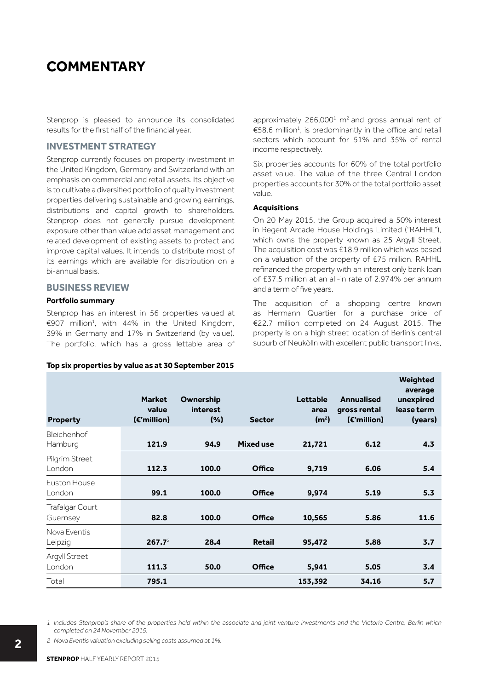## **COMMENTARY**

Stenprop is pleased to announce its consolidated results for the first half of the financial year.

## **INVESTMENT STRATEGY**

Stenprop currently focuses on property investment in the United Kingdom, Germany and Switzerland with an emphasis on commercial and retail assets. Its objective is to cultivate a diversified portfolio of quality investment properties delivering sustainable and growing earnings, distributions and capital growth to shareholders. Stenprop does not generally pursue development exposure other than value add asset management and related development of existing assets to protect and improve capital values. It intends to distribute most of its earnings which are available for distribution on a bi-annual basis.

## **BUSINESS REVIEW**

### **Portfolio summary**

Stenprop has an interest in 56 properties valued at €907 million<sup>1</sup>, with 44% in the United Kingdom, 39% in Germany and 17% in Switzerland (by value). The portfolio, which has a gross lettable area of

### **Top six properties by value as at 30 September 2015**

approximately  $266,000<sup>1</sup>$  m<sup>2</sup> and gross annual rent of €58.6 million<sup>1</sup>, is predominantly in the office and retail sectors which account for 51% and 35% of rental income respectively.

Six properties accounts for 60% of the total portfolio asset value. The value of the three Central London properties accounts for 30% of the total portfolio asset value.

### **Acquisitions**

On 20 May 2015, the Group acquired a 50% interest in Regent Arcade House Holdings Limited ("RAHHL"), which owns the property known as 25 Argyll Street. The acquisition cost was £18.9 million which was based on a valuation of the property of £75 million. RAHHL refinanced the property with an interest only bank loan of £37.5 million at an all-in rate of 2.974% per annum and a term of five years.

The acquisition of a shopping centre known as Hermann Quartier for a purchase price of €22.7 million completed on 24 August 2015. The property is on a high street location of Berlin's central suburb of Neukölln with excellent public transport links,

| <b>Property</b>             | <b>Market</b><br>value<br>(€'million) | Ownership<br><b>interest</b><br>(%) | <b>Sector</b>    | <b>Lettable</b><br>area<br>(m <sup>2</sup> ) | <b>Annualised</b><br>gross rental<br>$(\epsilon$ 'million) | Weighted<br>average<br>unexpired<br>lease term<br>(years) |
|-----------------------------|---------------------------------------|-------------------------------------|------------------|----------------------------------------------|------------------------------------------------------------|-----------------------------------------------------------|
| Bleichenhof<br>Hamburg      | 121.9                                 | 94.9                                | <b>Mixed use</b> | 21,721                                       | 6.12                                                       | 4.3                                                       |
| Pilgrim Street<br>London    | 112.3                                 | 100.0                               | Office           | 9,719                                        | 6.06                                                       | 5.4                                                       |
| Euston House<br>London      | 99.1                                  | 100.0                               | <b>Office</b>    | 9,974                                        | 5.19                                                       | 5.3                                                       |
| Trafalgar Court<br>Guernsey | 82.8                                  | 100.0                               | <b>Office</b>    | 10,565                                       | 5.86                                                       | 11.6                                                      |
| Nova Eventis<br>Leipzig     | $267.7^2$                             | 28.4                                | <b>Retail</b>    | 95,472                                       | 5.88                                                       | 3.7                                                       |
| Argyll Street<br>London     | 111.3                                 | 50.0                                | <b>Office</b>    | 5,941                                        | 5.05                                                       | 3.4                                                       |
| Total                       | 795.1                                 |                                     |                  | 153,392                                      | 34.16                                                      | 5.7                                                       |

1 Includes Stenprop's share of the properties held within the associate and joint venture investments and the Victoria Centre, Berlin which completed on 24 November 2015.

2 Nova Eventis valuation excluding selling costs assumed at 1%.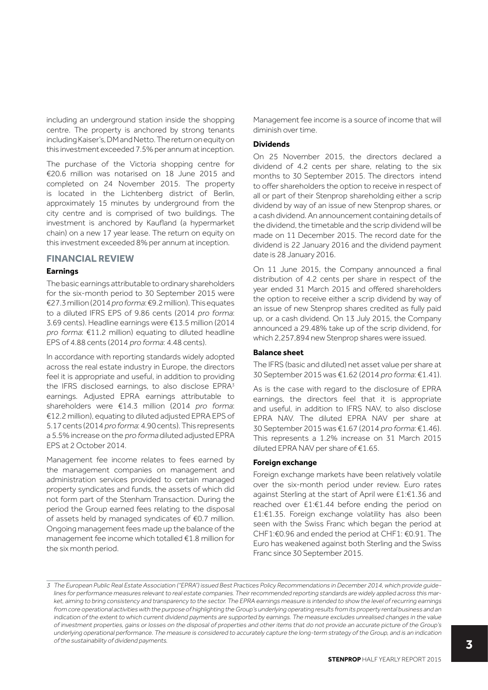including an underground station inside the shopping centre. The property is anchored by strong tenants including Kaiser's, DM and Netto. The return on equity on this investment exceeded 7.5% per annum at inception.

The purchase of the Victoria shopping centre for €20.6 million was notarised on 18 June 2015 and completed on 24 November 2015. The property is located in the Lichtenberg district of Berlin, approximately 15 minutes by underground from the city centre and is comprised of two buildings. The investment is anchored by Kaufland (a hypermarket chain) on a new 17 year lease. The return on equity on this investment exceeded 8% per annum at inception.

## **FINANCIAL REVIEW**

### **Earnings**

The basic earnings attributable to ordinary shareholders for the six-month period to 30 September 2015 were €27.3 million (2014 pro forma: €9.2 million). This equates to a diluted IFRS EPS of 9.86 cents (2014 pro forma: 3.69 cents). Headline earnings were €13.5 million (2014 pro forma: €11.2 million) equating to diluted headline EPS of 4.88 cents (2014 pro forma: 4.48 cents).

In accordance with reporting standards widely adopted across the real estate industry in Europe, the directors feel it is appropriate and useful, in addition to providing the IFRS disclosed earnings, to also disclose EPRA<sup>3</sup> earnings. Adjusted EPRA earnings attributable to shareholders were €14.3 million (2014 pro forma: €12.2 million), equating to diluted adjusted EPRA EPS of 5.17 cents (2014 pro forma: 4.90 cents). This represents a 5.5% increase on the pro forma diluted adjusted EPRA EPS at 2 October 2014.

Management fee income relates to fees earned by the management companies on management and administration services provided to certain managed property syndicates and funds, the assets of which did not form part of the Stenham Transaction. During the period the Group earned fees relating to the disposal of assets held by managed syndicates of €0.7 million. Ongoing management fees made up the balance of the management fee income which totalled €1.8 million for the six month period.

Management fee income is a source of income that will diminish over time.

### **Dividends**

On 25 November 2015, the directors declared a dividend of 4.2 cents per share, relating to the six months to 30 September 2015. The directors intend to offer shareholders the option to receive in respect of all or part of their Stenprop shareholding either a scrip dividend by way of an issue of new Stenprop shares, or a cash dividend. An announcement containing details of the dividend, the timetable and the scrip dividend will be made on 11 December 2015. The record date for the dividend is 22 January 2016 and the dividend payment date is 28 January 2016.

On 11 June 2015, the Company announced a final distribution of 4.2 cents per share in respect of the year ended 31 March 2015 and offered shareholders the option to receive either a scrip dividend by way of an issue of new Stenprop shares credited as fully paid up, or a cash dividend. On 13 July 2015, the Company announced a 29.48% take up of the scrip dividend, for which 2,257,894 new Stenprop shares were issued.

### **Balance sheet**

The IFRS (basic and diluted) net asset value per share at 30 September 2015 was €1.62 (2014 pro forma: €1.41).

As is the case with regard to the disclosure of EPRA earnings, the directors feel that it is appropriate and useful, in addition to IFRS NAV, to also disclose EPRA NAV. The diluted EPRA NAV per share at 30 September 2015 was €1.67 (2014 pro forma: €1.46). This represents a 1.2% increase on 31 March 2015 diluted EPRA NAV per share of €1.65.

## **Foreign exchange**

Foreign exchange markets have been relatively volatile over the six-month period under review. Euro rates against Sterling at the start of April were £1:€1.36 and reached over £1:€1.44 before ending the period on £1:€1.35. Foreign exchange volatility has also been seen with the Swiss Franc which began the period at CHF1:€0.96 and ended the period at CHF1: €0.91. The Euro has weakened against both Sterling and the Swiss Franc since 30 September 2015.

<sup>3</sup> The European Public Real Estate Association ("EPRA") issued Best Practices Policy Recommendations in December 2014, which provide guidelines for performance measures relevant to real estate companies. Their recommended reporting standards are widely applied across this market, aiming to bring consistency and transparency to the sector. The EPRA earnings measure is intended to show the level of recurring earnings from core operational activities with the purpose of highlighting the Group's underlying operating results from its property rental business and an indication of the extent to which current dividend payments are supported by earnings. The measure excludes unrealised changes in the value of investment properties, gains or losses on the disposal of properties and other items that do not provide an accurate picture of the Group's underlying operational performance. The measure is considered to accurately capture the long-term strategy of the Group, and is an indication of the sustainability of dividend payments.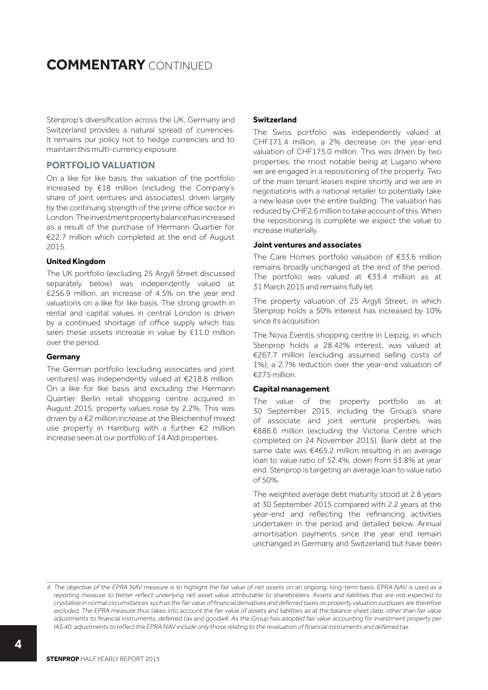## **COMMENTARY** CONTINUED

Stenprop's diversification across the UK, Germany and Switzerland provides a natural spread of currencies. It remains our policy not to hedge currencies and to maintain this multi-currency exposure.

## **PORTFOLIO VALUATION**

On a like for like basis, the valuation of the portfolio increased by €18 million (including the Company's share of joint ventures and associates), driven largely by the continuing strength of the prime office sector in London. The investment property balance has increased as a result of the purchase of Hermann Quartier for €22.7 million which completed at the end of August 2015.

### **United Kingdom**

The UK portfolio (excluding 25 Argyll Street discussed separately below) was independently valued at £256.9 million, an increase of 4.5% on the year end valuations on a like for like basis. The strong growth in rental and capital values in central London is driven by a continued shortage of office supply which has seen these assets increase in value by £11.0 million over the period.

## **Germany**

The German portfolio (excluding associates and joint ventures) was independently valued at €218.8 million. On a like for like basis and excluding the Hermann Quartier Berlin retail shopping centre acquired in August 2015, property values rose by 2.2%. This was driven by a €2 million increase at the Bleichenhof mixed use property in Hamburg with a further €2 million increase seen at our portfolio of 14 Aldi properties.

## **Switzerland**

The Swiss portfolio was independently valued at CHF171.4 million, a 2% decrease on the year-end valuation of CHF175.0 million. This was driven by two properties, the most notable being at Lugano where we are engaged in a repositioning of the property. Two of the main tenant leases expire shortly and we are in negotiations with a national retailer to potentially take a new lease over the entire building. The valuation has reduced by CHF2.6 million to take account of this. When the repositioning is complete we expect the value to increase materially.

### **Joint ventures and associates**

The Care Homes portfolio valuation of €33.6 million remains broadly unchanged at the end of the period. The portfolio was valued at €33.4 million as at 31 March 2015 and remains fully let.

The property valuation of 25 Argyll Street, in which Stenprop holds a 50% interest has increased by 10% since its acquisition.

The Nova Eventis shopping centre in Leipzig, in which Stenprop holds a 28.42% interest, was valued at €267.7 million (excluding assumed selling costs of 1%), a 2.7% reduction over the year-end valuation of €275 million.

### **Capital management**

The value of the property portfolio as at 30 September 2015, including the Group's share of associate and joint venture properties, was €886.6 million (excluding the Victoria Centre which completed on 24 November 2015). Bank debt at the same date was €465.2 million resulting in an average loan to value ratio of 52.4%, down from 53.8% at year end. Stenprop is targeting an average loan to value ratio of 50%.

The weighted average debt maturity stood at 2.8 years at 30 September 2015 compared with 2.2 years at the year-end and reflecting the refinancing activities undertaken in the period and detailed below. Annual amortisation payments since the year end remain unchanged in Germany and Switzerland but have been

<sup>4</sup> The objective of the EPRA NAV measure is to highlight the fair value of net assets on an ongoing, long-term basis. EPRA NAV is used as a reporting measure to better reflect underlying net asset value attributable to shareholders. Assets and liabilities that are not expected to crystallise in normal circumstances such as the fair value of financial derivatives and deferred taxes on property valuation surpluses are therefore excluded. The EPRA measure thus takes into account the fair value of assets and liabilities as at the balance sheet date, other than fair value adjustments to financial instruments, deferred tax and goodwill. As the Group has adopted fair value accounting for investment property per IAS 40, adjustments to reflect the EPRA NAV include only those relating to the revaluation of financial instruments and deferred tax.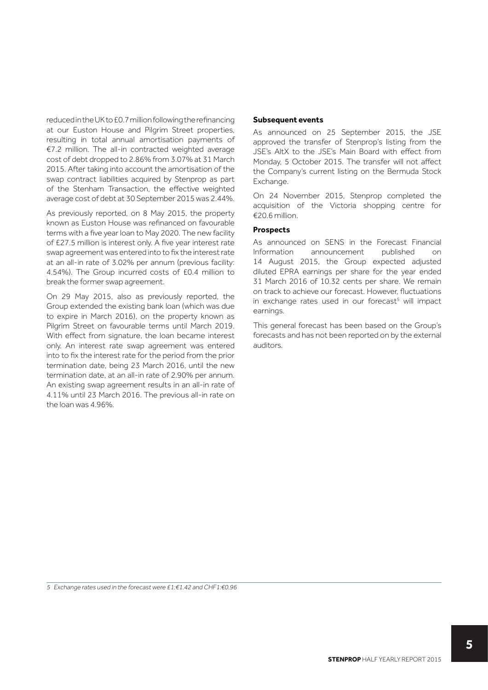reduced in the UK to £0.7 million following the refinancing at our Euston House and Pilgrim Street properties, resulting in total annual amortisation payments of €7.2 million. The all-in contracted weighted average cost of debt dropped to 2.86% from 3.07% at 31 March 2015. After taking into account the amortisation of the swap contract liabilities acquired by Stenprop as part of the Stenham Transaction, the effective weighted average cost of debt at 30 September 2015 was 2.44%.

As previously reported, on 8 May 2015, the property known as Euston House was refinanced on favourable terms with a five year loan to May 2020. The new facility of £27.5 million is interest only. A five year interest rate swap agreement was entered into to fix the interest rate at an all-in rate of 3.02% per annum (previous facility: 4.54%). The Group incurred costs of £0.4 million to break the former swap agreement.

On 29 May 2015, also as previously reported, the Group extended the existing bank loan (which was due to expire in March 2016), on the property known as Pilgrim Street on favourable terms until March 2019. With effect from signature, the loan became interest only. An interest rate swap agreement was entered into to fix the interest rate for the period from the prior termination date, being 23 March 2016, until the new termination date, at an all-in rate of 2.90% per annum. An existing swap agreement results in an all-in rate of 4.11% until 23 March 2016. The previous all-in rate on the loan was 4.96%.

### **Subsequent events**

As announced on 25 September 2015, the JSE approved the transfer of Stenprop's listing from the JSE's AltX to the JSE's Main Board with effect from Monday, 5 October 2015. The transfer will not affect the Company's current listing on the Bermuda Stock Exchange.

On 24 November 2015, Stenprop completed the acquisition of the Victoria shopping centre for €20.6 million.

## **Prospects**

As announced on SENS in the Forecast Financial Information announcement published on 14 August 2015, the Group expected adjusted diluted EPRA earnings per share for the year ended 31 March 2016 of 10.32 cents per share. We remain on track to achieve our forecast. However, fluctuations in exchange rates used in our forecast<sup>5</sup> will impact earnings.

This general forecast has been based on the Group's forecasts and has not been reported on by the external auditors.

5 Exchange rates used in the forecast were £1:€1.42 and CHF1:€0.96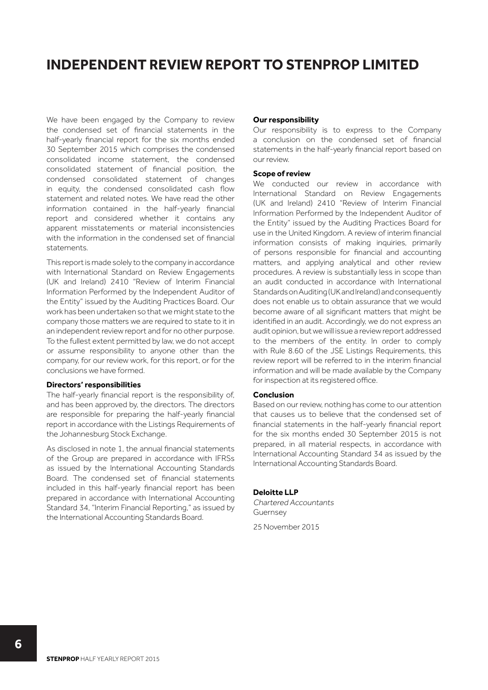## **INDEPENDENT REVIEW REPORT TO STENPROP LIMITED**

We have been engaged by the Company to review the condensed set of financial statements in the half-yearly financial report for the six months ended 30 September 2015 which comprises the condensed consolidated income statement, the condensed consolidated statement of financial position, the condensed consolidated statement of changes in equity, the condensed consolidated cash flow statement and related notes. We have read the other information contained in the half-yearly financial report and considered whether it contains any apparent misstatements or material inconsistencies with the information in the condensed set of financial statements.

This report is made solely to the company in accordance with International Standard on Review Engagements (UK and Ireland) 2410 "Review of Interim Financial Information Performed by the Independent Auditor of the Entity" issued by the Auditing Practices Board. Our work has been undertaken so that we might state to the company those matters we are required to state to it in an independent review report and for no other purpose. To the fullest extent permitted by law, we do not accept or assume responsibility to anyone other than the company, for our review work, for this report, or for the conclusions we have formed.

### **Directors' responsibilities**

The half-yearly financial report is the responsibility of, and has been approved by, the directors. The directors are responsible for preparing the half-yearly financial report in accordance with the Listings Requirements of the Johannesburg Stock Exchange.

As disclosed in note 1, the annual financial statements of the Group are prepared in accordance with IFRSs as issued by the International Accounting Standards Board. The condensed set of financial statements included in this half-yearly financial report has been prepared in accordance with International Accounting Standard 34, "Interim Financial Reporting," as issued by the International Accounting Standards Board.

### **Our responsibility**

Our responsibility is to express to the Company a conclusion on the condensed set of financial statements in the half-yearly financial report based on our review.

#### **Scope of review**

We conducted our review in accordance with International Standard on Review Engagements (UK and Ireland) 2410 "Review of Interim Financial Information Performed by the Independent Auditor of the Entity" issued by the Auditing Practices Board for use in the United Kingdom. A review of interim financial information consists of making inquiries, primarily of persons responsible for financial and accounting matters, and applying analytical and other review procedures. A review is substantially less in scope than an audit conducted in accordance with International Standards on Auditing (UK and Ireland) and consequently does not enable us to obtain assurance that we would become aware of all significant matters that might be identified in an audit. Accordingly, we do not express an audit opinion, but we will issue a review report addressed to the members of the entity. In order to comply with Rule 8.60 of the JSE Listings Requirements, this review report will be referred to in the interim financial information and will be made available by the Company for inspection at its registered office.

### **Conclusion**

Based on our review, nothing has come to our attention that causes us to believe that the condensed set of financial statements in the half-yearly financial report for the six months ended 30 September 2015 is not prepared, in all material respects, in accordance with International Accounting Standard 34 as issued by the International Accounting Standards Board.

### **Deloitte LLP**

Chartered Accountants Guernsey 25 November 2015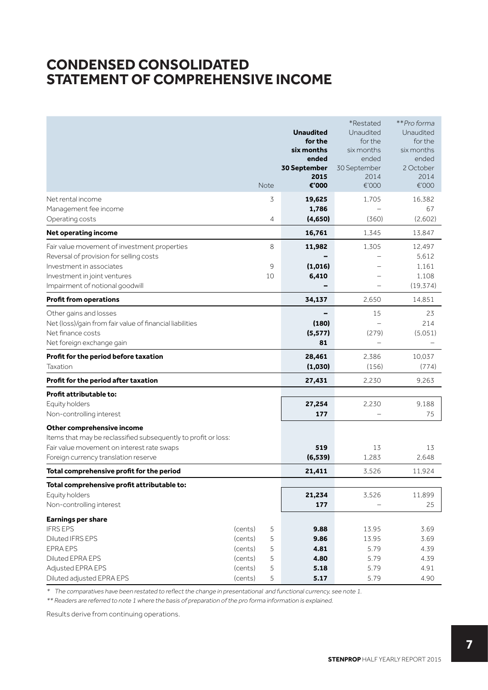## **CONDENSED CONSOLIDATED STATEMENT OF COMPREHENSIVE INCOME**

|                                                                                         |      |                | <b>Unaudited</b><br>for the<br>six months<br>ended<br>30 September<br>2015 | *Restated<br>Unaudited<br>for the<br>six months<br>ended<br>30 September<br>2014 | **Pro forma<br>Unaudited<br>for the<br>six months<br>ended<br>2 October<br>2014 |
|-----------------------------------------------------------------------------------------|------|----------------|----------------------------------------------------------------------------|----------------------------------------------------------------------------------|---------------------------------------------------------------------------------|
|                                                                                         | Note |                | €'000                                                                      | €'000                                                                            | €'000                                                                           |
| Net rental income<br>Management fee income                                              |      | 3              | 19,625                                                                     | 1,705                                                                            | 16,382<br>67                                                                    |
| Operating costs                                                                         |      | $\overline{4}$ | 1,786<br>(4,650)                                                           | (360)                                                                            | (2,602)                                                                         |
| Net operating income                                                                    |      |                | 16,761                                                                     | 1,345                                                                            | 13,847                                                                          |
|                                                                                         |      | 8              |                                                                            |                                                                                  |                                                                                 |
| Fair value movement of investment properties<br>Reversal of provision for selling costs |      |                | 11,982                                                                     | 1.305                                                                            | 12,497<br>5.612                                                                 |
| Investment in associates                                                                |      | 9              | (1,016)                                                                    |                                                                                  | 1.161                                                                           |
| Investment in joint ventures                                                            | 10   |                | 6,410                                                                      |                                                                                  | 1,108                                                                           |
| Impairment of notional goodwill                                                         |      |                |                                                                            |                                                                                  | (19, 374)                                                                       |
| <b>Profit from operations</b>                                                           |      |                | 34,137                                                                     | 2,650                                                                            | 14,851                                                                          |
| Other gains and losses                                                                  |      |                |                                                                            | 15                                                                               | 23                                                                              |
| Net (loss)/gain from fair value of financial liabilities                                |      |                | (180)                                                                      |                                                                                  | 214                                                                             |
| Net finance costs                                                                       |      |                | (5, 577)                                                                   | (279)                                                                            | (5,051)                                                                         |
| Net foreign exchange gain                                                               |      |                | 81                                                                         |                                                                                  |                                                                                 |
| Profit for the period before taxation                                                   |      |                | 28,461                                                                     | 2.386                                                                            | 10,037                                                                          |
| Taxation                                                                                |      |                | (1,030)                                                                    | (156)                                                                            | (774)                                                                           |
| Profit for the period after taxation                                                    |      |                | 27,431                                                                     | 2,230                                                                            | 9.263                                                                           |
| Profit attributable to:                                                                 |      |                |                                                                            |                                                                                  |                                                                                 |
| Equity holders                                                                          |      |                | 27,254                                                                     | 2,230                                                                            | 9.188                                                                           |
| Non-controlling interest                                                                |      |                | 177                                                                        |                                                                                  | 75                                                                              |
| Other comprehensive income                                                              |      |                |                                                                            |                                                                                  |                                                                                 |
| Items that may be reclassified subsequently to profit or loss:                          |      |                |                                                                            |                                                                                  |                                                                                 |
| Fair value movement on interest rate swaps                                              |      |                | 519                                                                        | 13                                                                               | 13                                                                              |
| Foreign currency translation reserve                                                    |      |                | (6, 539)                                                                   | 1,283                                                                            | 2,648                                                                           |
| Total comprehensive profit for the period                                               |      |                | 21,411                                                                     | 3,526                                                                            | 11,924                                                                          |
| Total comprehensive profit attributable to:                                             |      |                |                                                                            |                                                                                  |                                                                                 |
| Equity holders                                                                          |      |                | 21,234                                                                     | 3,526                                                                            | 11,899                                                                          |
| Non-controlling interest                                                                |      |                | 177                                                                        |                                                                                  | 25                                                                              |
| <b>Earnings per share</b>                                                               |      |                |                                                                            |                                                                                  |                                                                                 |
| <b>IFRS EPS</b><br>(cents)                                                              |      | 5              | 9.88                                                                       | 13.95                                                                            | 3.69                                                                            |
| Diluted IFRS EPS<br>(cents)                                                             |      | 5              | 9.86                                                                       | 13.95                                                                            | 3.69                                                                            |
| EPRA EPS<br>(cents)                                                                     |      | 5              | 4.81                                                                       | 5.79                                                                             | 4.39                                                                            |
| Diluted EPRA EPS<br>(cents)<br>Adjusted EPRA EPS<br>(cents)                             |      | 5<br>5         | 4.80<br>5.18                                                               | 5.79<br>5.79                                                                     | 4.39<br>4.91                                                                    |
| Diluted adjusted EPRA EPS<br>(cents)                                                    |      | 5              | 5.17                                                                       | 5.79                                                                             | 4.90                                                                            |

\* The comparatives have been restated to reflect the change in presentational and functional currency, see note 1.

\*\* Readers are referred to note 1 where the basis of preparation of the pro forma information is explained.

Results derive from continuing operations.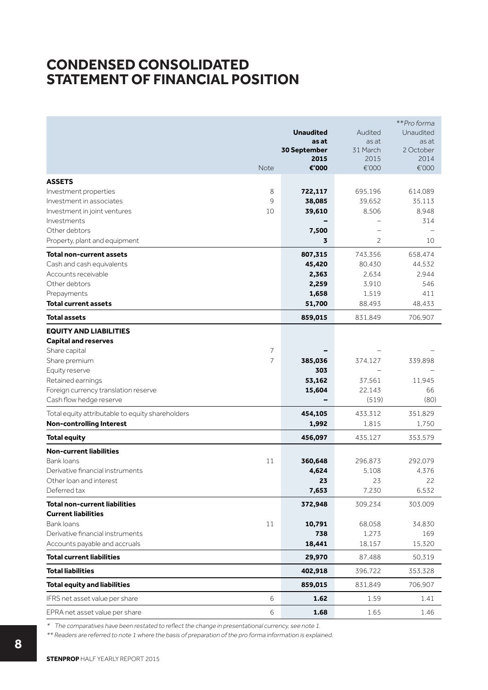## **CONDENSED CONSOLIDATED STATEMENT OF FINANCIAL POSITION**

|                                                                 |                | <b>Unaudited</b><br>as at<br>30 September<br>2015 | Audited<br>as at<br>31 March<br>2015 | **Pro forma<br>Unaudited<br>as at<br>2 October<br>2014 |
|-----------------------------------------------------------------|----------------|---------------------------------------------------|--------------------------------------|--------------------------------------------------------|
|                                                                 | Note           | €'000                                             | €'000                                | €'000                                                  |
| <b>ASSETS</b>                                                   |                |                                                   |                                      |                                                        |
| Investment properties                                           | 8              | 722,117                                           | 695,196                              | 614,089                                                |
| Investment in associates                                        | 9              | 38,085                                            | 39,652                               | 35,113                                                 |
| Investment in joint ventures                                    | 10             | 39,610                                            | 8,506                                | 8,948                                                  |
| Investments                                                     |                |                                                   |                                      | 314                                                    |
| Other debtors                                                   |                | 7,500                                             | -                                    |                                                        |
| Property, plant and equipment                                   |                | 3                                                 | 2                                    | 10                                                     |
| <b>Total non-current assets</b>                                 |                | 807,315                                           | 743,356                              | 658,474                                                |
| Cash and cash equivalents                                       |                | 45,420                                            | 80,430                               | 44,532                                                 |
| Accounts receivable                                             |                | 2,363                                             | 2,634                                | 2,944                                                  |
| Other debtors                                                   |                | 2,259                                             | 3,910                                | 546                                                    |
| Prepayments                                                     |                | 1,658                                             | 1,519                                | 411                                                    |
| <b>Total current assets</b>                                     |                | 51,700                                            | 88,493                               | 48,433                                                 |
| <b>Total assets</b>                                             |                | 859,015                                           | 831,849                              | 706,907                                                |
| <b>EQUITY AND LIABILITIES</b>                                   |                |                                                   |                                      |                                                        |
| <b>Capital and reserves</b>                                     |                |                                                   |                                      |                                                        |
| Share capital                                                   | 7              |                                                   |                                      |                                                        |
| Share premium                                                   | $\overline{7}$ | 385,036                                           | 374,127                              | 339,898                                                |
| Equity reserve                                                  |                | 303                                               |                                      |                                                        |
| Retained earnings                                               |                | 53,162                                            | 37,561<br>22,143                     | 11,945<br>66                                           |
| Foreign currency translation reserve<br>Cash flow hedge reserve |                | 15,604                                            | (519)                                | (80)                                                   |
|                                                                 |                |                                                   |                                      |                                                        |
| Total equity attributable to equity shareholders                |                | 454,105                                           | 433,312                              | 351,829                                                |
| <b>Non-controlling Interest</b>                                 |                | 1,992                                             | 1,815                                | 1,750                                                  |
| <b>Total equity</b>                                             |                | 456,097                                           | 435,127                              | 353,579                                                |
| <b>Non-current liabilities</b>                                  |                |                                                   |                                      |                                                        |
| Bank loans<br>Derivative financial instruments                  | 11             | 360,648                                           | 296,873                              | 292,079                                                |
| Other loan and interest                                         |                | 4,624<br>23                                       | 5.108<br>23                          | 4,376<br>22                                            |
| Deferred tax                                                    |                | 7,653                                             | 7,230                                | 6,532                                                  |
| <b>Total non-current liabilities</b>                            |                | 372,948                                           | 309,234                              | 303.009                                                |
| <b>Current liabilities</b>                                      |                |                                                   |                                      |                                                        |
| Bank loans                                                      | 11             | 10,791                                            | 68,058                               | 34,830                                                 |
| Derivative financial instruments                                |                | 738                                               | 1,273                                | 169                                                    |
| Accounts payable and accruals                                   |                | 18,441                                            | 18,157                               | 15,320                                                 |
| <b>Total current liabilities</b>                                |                | 29,970                                            | 87,488                               | 50,319                                                 |
| <b>Total liabilities</b>                                        |                | 402,918                                           | 396,722                              | 353,328                                                |
| <b>Total equity and liabilities</b>                             |                | 859,015                                           | 831,849                              | 706,907                                                |
| IFRS net asset value per share                                  | 6              | 1.62                                              | 1.59                                 | 1.41                                                   |
| EPRA net asset value per share                                  | 6              | 1.68                                              | 1.65                                 | 1.46                                                   |

\* The comparatives have been restated to reflect the change in presentational currency, see note 1.

\*\* Readers are referred to note 1 where the basis of preparation of the pro forma information is explained.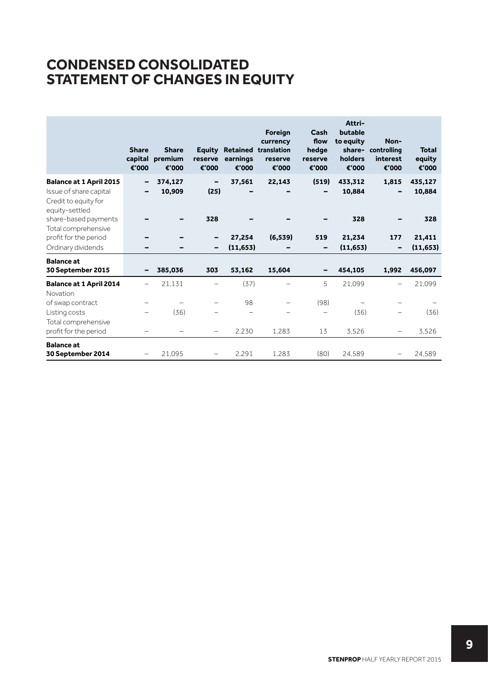## **CONDENSED CONSOLIDATED STATEMENT OF CHANGES IN EQUITY**

|                                                                                                    | <b>Share</b><br>capital<br>€'000 | <b>Share</b><br>premium<br>€'000 | <b>Equity</b><br>reserve<br>€'000 | Retained<br>earnings<br>€'000 | Foreign<br>currency<br>translation<br>reserve<br>€'000 | Cash<br>flow<br>hedge<br>reserve<br>€'000 | Attri-<br>butable<br>to equity<br>holders<br>€'000 | Non-<br>share- controlling<br><i>interest</i><br>€'000 | <b>Total</b><br>equity<br>€'000 |
|----------------------------------------------------------------------------------------------------|----------------------------------|----------------------------------|-----------------------------------|-------------------------------|--------------------------------------------------------|-------------------------------------------|----------------------------------------------------|--------------------------------------------------------|---------------------------------|
| <b>Balance at 1 April 2015</b><br>Issue of share capital<br>Credit to equity for<br>equity-settled | -                                | 374,127<br>10,909                | -<br>(25)                         | 37,561                        | 22,143                                                 | (519)                                     | 433,312<br>10,884                                  | 1,815                                                  | 435,127<br>10,884               |
| share-based payments                                                                               |                                  |                                  | 328                               |                               |                                                        |                                           | 328                                                |                                                        | 328                             |
| Total comprehensive<br>profit for the period<br>Ordinary dividends                                 |                                  |                                  | -<br>-                            | 27,254<br>(11, 653)           | (6, 539)                                               | 519<br>-                                  | 21,234<br>(11, 653)                                | 177<br>$\qquad \qquad$                                 | 21,411<br>(11, 653)             |
| <b>Balance at</b><br>30 September 2015                                                             |                                  | 385,036                          | 303                               | 53,162                        | 15,604                                                 |                                           | 454,105                                            | 1,992                                                  | 456,097                         |
|                                                                                                    |                                  |                                  | -                                 | (37)                          |                                                        | 5                                         |                                                    |                                                        | 21.099                          |
| <b>Balance at 1 April 2014</b><br>Novation                                                         |                                  | 21,131                           |                                   |                               |                                                        |                                           | 21,099                                             |                                                        |                                 |
| of swap contract                                                                                   |                                  |                                  |                                   | 98                            |                                                        | (98)                                      |                                                    |                                                        |                                 |
| Listing costs                                                                                      |                                  | (36)                             |                                   |                               |                                                        |                                           | (36)                                               |                                                        | (36)                            |
| Total comprehensive<br>profit for the period                                                       |                                  |                                  | $\qquad \qquad -$                 | 2,230                         | 1,283                                                  | 13                                        | 3.526                                              |                                                        | 3.526                           |
| <b>Balance at</b><br>30 September 2014                                                             |                                  | 21.095                           |                                   | 2.291                         | 1.283                                                  | (80)                                      | 24.589                                             |                                                        | 24,589                          |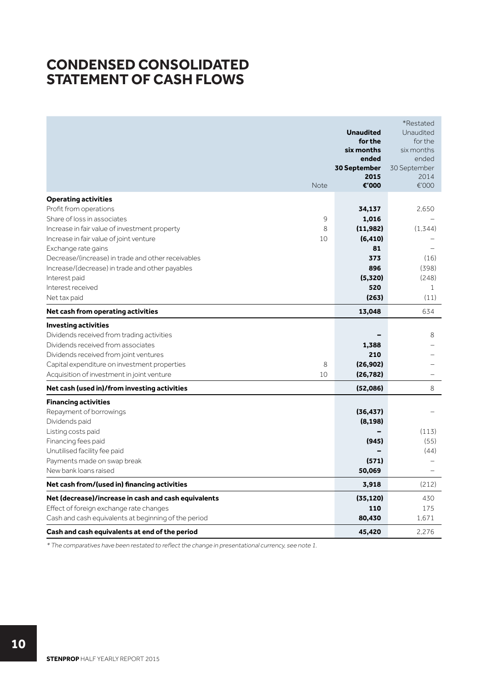## **CONDENSED CONSOLIDATED STATEMENT OF CASH FLOWS**

| Note                                                 | <b>Unaudited</b><br>for the<br>six months<br>ended<br>30 September<br>2015<br>€'000 | *Restated<br>Unaudited<br>for the<br>six months<br>ended<br>30 September<br>2014<br>€'000 |
|------------------------------------------------------|-------------------------------------------------------------------------------------|-------------------------------------------------------------------------------------------|
| <b>Operating activities</b>                          |                                                                                     |                                                                                           |
| Profit from operations                               | 34,137                                                                              | 2.650                                                                                     |
| Share of loss in associates<br>9                     | 1,016                                                                               |                                                                                           |
| Increase in fair value of investment property<br>8   | (11,982)                                                                            | (1, 344)                                                                                  |
| Increase in fair value of joint venture<br>10        | (6, 410)                                                                            |                                                                                           |
| Exchange rate gains                                  | 81                                                                                  |                                                                                           |
| Decrease/(increase) in trade and other receivables   | 373                                                                                 | (16)                                                                                      |
| Increase/(decrease) in trade and other payables      | 896                                                                                 | (398)                                                                                     |
| Interest paid                                        | (5,320)                                                                             | (248)                                                                                     |
| Interest received                                    | 520                                                                                 | $\mathbf{1}$                                                                              |
| Net tax paid                                         | (263)                                                                               | (11)                                                                                      |
| Net cash from operating activities                   | 13,048                                                                              | 634                                                                                       |
| <b>Investing activities</b>                          |                                                                                     |                                                                                           |
| Dividends received from trading activities           |                                                                                     | 8                                                                                         |
| Dividends received from associates                   | 1,388                                                                               |                                                                                           |
| Dividends received from joint ventures               | 210                                                                                 |                                                                                           |
| 8<br>Capital expenditure on investment properties    | (26, 902)                                                                           |                                                                                           |
| 10<br>Acquisition of investment in joint venture     | (26, 782)                                                                           |                                                                                           |
| Net cash (used in)/from investing activities         | (52,086)                                                                            | 8                                                                                         |
| <b>Financing activities</b>                          |                                                                                     |                                                                                           |
| Repayment of borrowings                              | (36, 437)                                                                           |                                                                                           |
| Dividends paid                                       | (8, 198)                                                                            |                                                                                           |
| Listing costs paid                                   |                                                                                     | (113)                                                                                     |
| Financing fees paid                                  | (945)                                                                               | (55)                                                                                      |
| Unutilised facility fee paid                         |                                                                                     | (44)                                                                                      |
| Payments made on swap break                          | (571)                                                                               |                                                                                           |
| New bank loans raised                                | 50,069                                                                              |                                                                                           |
| Net cash from/(used in) financing activities         | 3,918                                                                               | (212)                                                                                     |
| Net (decrease)/increase in cash and cash equivalents | (35, 120)                                                                           | 430                                                                                       |
| Effect of foreign exchange rate changes              | 110                                                                                 | 175                                                                                       |
| Cash and cash equivalents at beginning of the period | 80,430                                                                              | 1.671                                                                                     |
| Cash and cash equivalents at end of the period       | 45,420                                                                              | 2,276                                                                                     |

\* The comparatives have been restated to reflect the change in presentational currency, see note 1.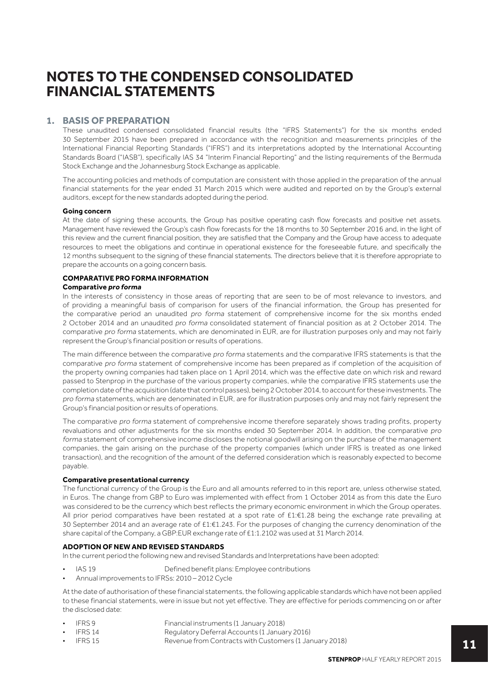## **1. BASIS OF PREPARATION**

These unaudited condensed consolidated financial results (the "IFRS Statements") for the six months ended 30 September 2015 have been prepared in accordance with the recognition and measurements principles of the International Financial Reporting Standards ("IFRS") and its interpretations adopted by the International Accounting Standards Board ("IASB"), specifically IAS 34 "Interim Financial Reporting" and the listing requirements of the Bermuda Stock Exchange and the Johannesburg Stock Exchange as applicable.

The accounting policies and methods of computation are consistent with those applied in the preparation of the annual financial statements for the year ended 31 March 2015 which were audited and reported on by the Group's external auditors, except for the new standards adopted during the period.

#### **Going concern**

At the date of signing these accounts, the Group has positive operating cash flow forecasts and positive net assets. Management have reviewed the Group's cash flow forecasts for the 18 months to 30 September 2016 and, in the light of this review and the current financial position, they are satisfied that the Company and the Group have access to adequate resources to meet the obligations and continue in operational existence for the foreseeable future, and specifically the 12 months subsequent to the signing of these financial statements. The directors believe that it is therefore appropriate to prepare the accounts on a going concern basis.

#### **COMPARATIVE PRO FORMA INFORMATION Comparative pro forma**

In the interests of consistency in those areas of reporting that are seen to be of most relevance to investors, and of providing a meaningful basis of comparison for users of the financial information, the Group has presented for the comparative period an unaudited pro forma statement of comprehensive income for the six months ended 2 October 2014 and an unaudited pro forma consolidated statement of financial position as at 2 October 2014. The comparative pro forma statements, which are denominated in EUR, are for illustration purposes only and may not fairly represent the Group's financial position or results of operations.

The main difference between the comparative pro forma statements and the comparative IFRS statements is that the comparative pro forma statement of comprehensive income has been prepared as if completion of the acquisition of the property owning companies had taken place on 1 April 2014, which was the effective date on which risk and reward passed to Stenprop in the purchase of the various property companies, while the comparative IFRS statements use the completion date of the acquisition (date that control passes), being 2 October 2014, to account for these investments. The pro forma statements, which are denominated in EUR, are for illustration purposes only and may not fairly represent the Group's financial position or results of operations.

The comparative pro forma statement of comprehensive income therefore separately shows trading profits, property revaluations and other adjustments for the six months ended 30 September 2014. In addition, the comparative pro forma statement of comprehensive income discloses the notional goodwill arising on the purchase of the management companies, the gain arising on the purchase of the property companies (which under IFRS is treated as one linked transaction), and the recognition of the amount of the deferred consideration which is reasonably expected to become payable.

### **Comparative presentational currency**

The functional currency of the Group is the Euro and all amounts referred to in this report are, unless otherwise stated, in Euros. The change from GBP to Euro was implemented with effect from 1 October 2014 as from this date the Euro was considered to be the currency which best reflects the primary economic environment in which the Group operates. All prior period comparatives have been restated at a spot rate of £1:€1.28 being the exchange rate prevailing at 30 September 2014 and an average rate of £1:€1.243. For the purposes of changing the currency denomination of the share capital of the Company, a GBP:EUR exchange rate of £1:1.2102 was used at 31 March 2014.

### **ADOPTION OF NEW AND REVISED STANDARDS**

In the current period the following new and revised Standards and Interpretations have been adopted:

- IAS 19 Defined benefit plans: Employee contributions
- Annual improvements to IFRSs: 2010 2012 Cycle

At the date of authorisation of these financial statements, the following applicable standards which have not been applied to these financial statements, were in issue but not yet effective. They are effective for periods commencing on or after the disclosed date:

- IFRS 9 Financial instruments (1 January 2018)
- IFRS 14 Regulatory Deferral Accounts (1 January 2016)<br>• IFRS 15 Revenue from Contracts with Customers (1 Jan
- Revenue from Contracts with Customers (1 January 2018)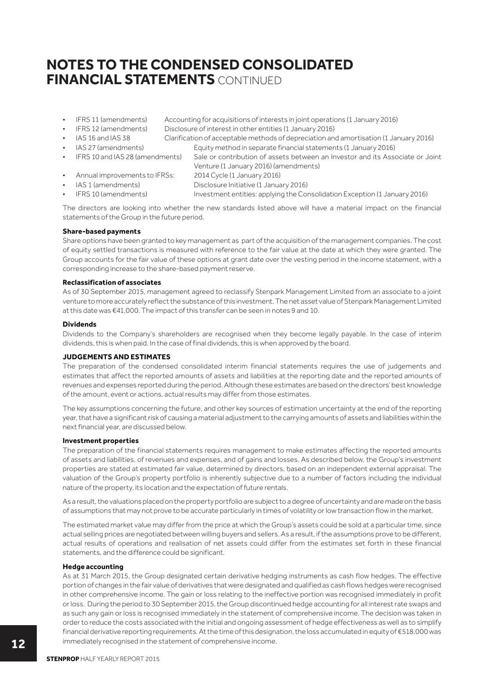- IFRS 11 (amendments) Accounting for acquisitions of interests in joint operations (1 January 2016)
- IFRS 12 (amendments) Disclosure of interest in other entities (1 January 2016)
- IAS 16 and IAS 38 Clarification of acceptable methods of depreciation and amortisation (1 January 2016)
- IAS 27 (amendments) Equity method in separate financial statements (1 January 2016)
- IFRS 10 and IAS 28 (amendments) Sale or contribution of assets between an Investor and its Associate or Joint
- Annual improvements to IFRSs: 2014 Cycle (1 January 2016)
	- IAS 1 (amendments) Disclosure Initiative (1 January 2016)
- IFRS 10 (amendments) Investment entities: applying the Consolidation Exception (1 January 2016)

The directors are looking into whether the new standards listed above will have a material impact on the financial statements of the Group in the future period.

Venture (1 January 2016) (amendments)

### **Share-based payments**

Share options have been granted to key management as part of the acquisition of the management companies. The cost of equity settled transactions is measured with reference to the fair value at the date at which they were granted. The Group accounts for the fair value of these options at grant date over the vesting period in the income statement, with a corresponding increase to the share-based payment reserve.

### **Reclassification of associates**

As of 30 September 2015, management agreed to reclassify Stenpark Management Limited from an associate to a joint venture to more accurately reflect the substance of this investment. The net asset value of Stenpark Management Limited at this date was €41,000. The impact of this transfer can be seen in notes 9 and 10.

### **Dividends**

Dividends to the Company's shareholders are recognised when they become legally payable. In the case of interim dividends, this is when paid. In the case of final dividends, this is when approved by the board.

### **JUDGEMENTS AND ESTIMATES**

The preparation of the condensed consolidated interim financial statements requires the use of judgements and estimates that affect the reported amounts of assets and liabilities at the reporting date and the reported amounts of revenues and expenses reported during the period. Although these estimates are based on the directors' best knowledge of the amount, event or actions, actual results may differ from those estimates.

The key assumptions concerning the future, and other key sources of estimation uncertainty at the end of the reporting year, that have a significant risk of causing a material adjustment to the carrying amounts of assets and liabilities within the next financial year, are discussed below.

### **Investment properties**

The preparation of the financial statements requires management to make estimates affecting the reported amounts of assets and liabilities, of revenues and expenses, and of gains and losses. As described below, the Group's investment properties are stated at estimated fair value, determined by directors, based on an independent external appraisal. The valuation of the Group's property portfolio is inherently subjective due to a number of factors including the individual nature of the property, its location and the expectation of future rentals.

As a result, the valuations placed on the property portfolio are subject to a degree of uncertainty and are made on the basis of assumptions that may not prove to be accurate particularly in times of volatility or low transaction flow in the market.

The estimated market value may differ from the price at which the Group's assets could be sold at a particular time, since actual selling prices are negotiated between willing buyers and sellers. As a result, if the assumptions prove to be different, actual results of operations and realisation of net assets could differ from the estimates set forth in these financial statements, and the difference could be significant.

### **Hedge accounting**

As at 31 March 2015, the Group designated certain derivative hedging instruments as cash flow hedges. The effective portion of changes in the fair value of derivatives that were designated and qualified as cash flows hedges were recognised in other comprehensive income. The gain or loss relating to the ineffective portion was recognised immediately in profit or loss. During the period to 30 September 2015, the Group discontinued hedge accounting for all interest rate swaps and as such any gain or loss is recognised immediately in the statement of comprehensive income. The decision was taken in order to reduce the costs associated with the initial and ongoing assessment of hedge effectiveness as well as to simplify financial derivative reporting requirements. At the time of this designation, the loss accumulated in equity of €518,000 was immediately recognised in the statement of comprehensive income.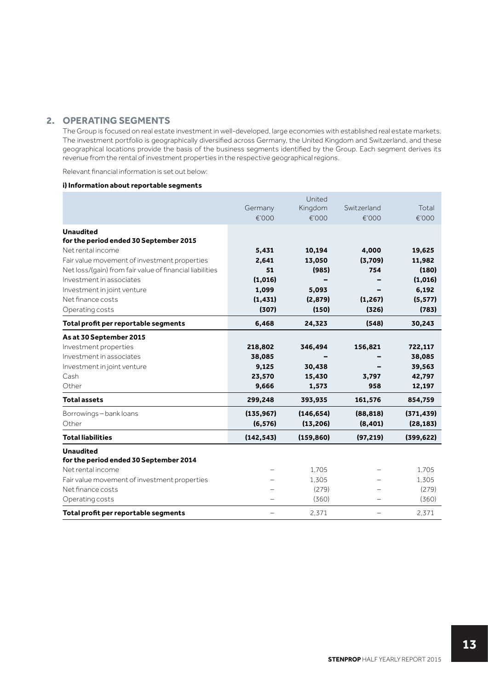## **2. OPERATING SEGMENTS**

The Group is focused on real estate investment in well-developed, large economies with established real estate markets. The investment portfolio is geographically diversified across Germany, the United Kingdom and Switzerland, and these geographical locations provide the basis of the business segments identified by the Group. Each segment derives its revenue from the rental of investment properties in the respective geographical regions.

Relevant financial information is set out below:

### **i) Information about reportable segments**

|                                                          |            | United     |             |            |
|----------------------------------------------------------|------------|------------|-------------|------------|
|                                                          | Germany    | Kingdom    | Switzerland | Total      |
|                                                          | €'000      | €'000      | €'000       | €'000      |
| <b>Unaudited</b>                                         |            |            |             |            |
| for the period ended 30 September 2015                   |            |            |             |            |
| Net rental income                                        | 5,431      | 10,194     | 4,000       | 19,625     |
| Fair value movement of investment properties             | 2,641      | 13,050     | (3,709)     | 11,982     |
| Net loss/(gain) from fair value of financial liabilities | 51         | (985)      | 754         | (180)      |
| Investment in associates                                 | (1,016)    |            |             | (1,016)    |
| Investment in joint venture                              | 1,099      | 5,093      |             | 6,192      |
| Net finance costs                                        | (1, 431)   | (2,879)    | (1, 267)    | (5, 577)   |
| Operating costs                                          | (307)      | (150)      | (326)       | (783)      |
| Total profit per reportable segments                     | 6,468      | 24,323     | (548)       | 30,243     |
| As at 30 September 2015                                  |            |            |             |            |
| Investment properties                                    | 218,802    | 346,494    | 156,821     | 722,117    |
| Investment in associates                                 | 38,085     |            |             | 38,085     |
| Investment in joint venture                              | 9,125      | 30,438     |             | 39,563     |
| Cash                                                     | 23,570     | 15,430     | 3,797       | 42,797     |
| Other                                                    | 9,666      | 1,573      | 958         | 12,197     |
| <b>Total assets</b>                                      | 299,248    | 393,935    | 161,576     | 854,759    |
| Borrowings-bank loans                                    | (135, 967) | (146, 654) | (88, 818)   | (371, 439) |
| Other                                                    | (6, 576)   | (13, 206)  | (8,401)     | (28, 183)  |
| <b>Total liabilities</b>                                 | (142, 543) | (159, 860) | (97, 219)   | (399, 622) |
| <b>Unaudited</b>                                         |            |            |             |            |
| for the period ended 30 September 2014                   |            |            |             |            |
| Net rental income                                        |            | 1.705      |             | 1.705      |
| Fair value movement of investment properties             |            | 1,305      |             | 1,305      |
| Net finance costs                                        |            | (279)      |             | (279)      |
| Operating costs                                          |            | (360)      |             | (360)      |
| Total profit per reportable segments                     | -          | 2.371      | -           | 2,371      |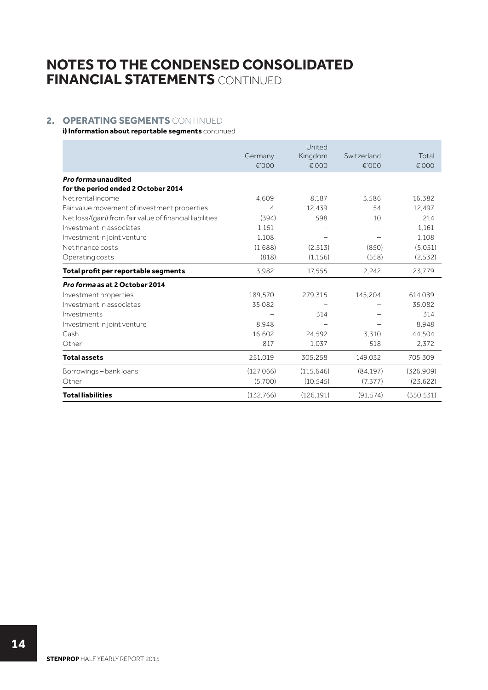## **2. OPERATING SEGMENTS** CONTINUED

**i) Information about reportable segments** continued

|                                                            | Germany<br>€'000 | United<br>Kingdom<br>€'000 | Switzerland<br>€'000 | Total<br>€'000 |
|------------------------------------------------------------|------------------|----------------------------|----------------------|----------------|
| Pro forma unaudited<br>for the period ended 2 October 2014 |                  |                            |                      |                |
| Net rental income                                          | 4.609            | 8.187                      | 3.586                | 16.382         |
| Fair value movement of investment properties               | 4                | 12.439                     | 54                   | 12.497         |
| Net loss/(gain) from fair value of financial liabilities   | (394)            | 598                        | 10                   | 214            |
| Investment in associates                                   | 1.161            |                            |                      | 1.161          |
| Investment in joint venture                                | 1.108            |                            |                      | 1.108          |
| Net finance costs                                          | (1,688)          | (2.513)                    | (850)                | (5.051)        |
| Operating costs                                            | (818)            | (1.156)                    | (558)                | (2.532)        |
| Total profit per reportable segments                       | 3.982            | 17.555                     | 2.242                | 23,779         |
| Pro forma as at 2 October 2014                             |                  |                            |                      |                |
| Investment properties                                      | 189,570          | 279.315                    | 145,204              | 614,089        |
| Investment in associates                                   | 35,082           |                            |                      | 35,082         |
| Investments                                                |                  | 314                        |                      | 314            |
| Investment in joint venture                                | 8.948            |                            |                      | 8.948          |
| Cash                                                       | 16.602           | 24.592                     | 3.310                | 44.504         |
| Other                                                      | 817              | 1.037                      | 518                  | 2.372          |
| <b>Total assets</b>                                        | 251,019          | 305,258                    | 149.032              | 705,309        |
| Borrowings-bank loans                                      | (127,066)        | (115.646)                  | (84.197)             | (326.909)      |
| Other                                                      | (5,700)          | (10.545)                   | (7, 377)             | (23, 622)      |
| <b>Total liabilities</b>                                   | (132, 766)       | (126.191)                  | (91, 574)            | (350.531)      |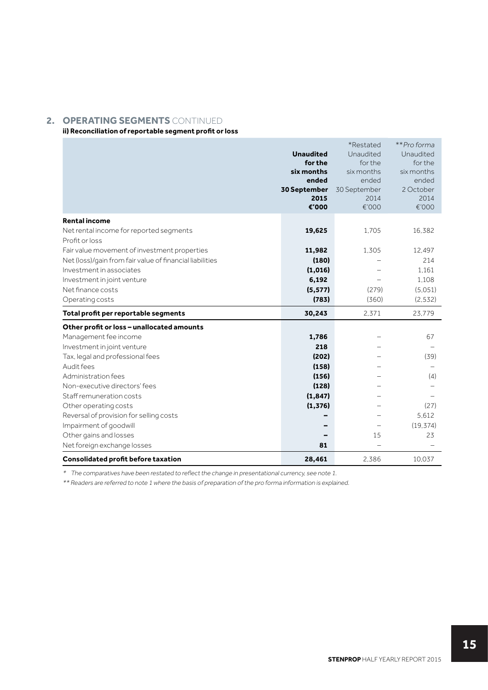## **2. OPERATING SEGMENTS** CONTINUED

## **ii) Reconciliation of reportable segment profit or loss**

|                                                          | <b>Unaudited</b><br>for the<br>six months<br>ended<br>30 September<br>2015<br>€'000 | *Restated<br>Unaudited<br>for the<br>six months<br>ended<br>30 September<br>2014<br>€'000 | **Pro forma<br>Unaudited<br>for the<br>six months<br>ended<br>2 October<br>2014<br>€'000 |
|----------------------------------------------------------|-------------------------------------------------------------------------------------|-------------------------------------------------------------------------------------------|------------------------------------------------------------------------------------------|
| <b>Rental income</b>                                     |                                                                                     |                                                                                           |                                                                                          |
| Net rental income for reported segments                  | 19,625                                                                              | 1,705                                                                                     | 16,382                                                                                   |
| Profit or loss                                           |                                                                                     |                                                                                           |                                                                                          |
| Fair value movement of investment properties             | 11,982                                                                              | 1,305                                                                                     | 12.497                                                                                   |
| Net (loss)/gain from fair value of financial liabilities | (180)                                                                               |                                                                                           | 214                                                                                      |
| Investment in associates                                 | (1,016)                                                                             |                                                                                           | 1.161                                                                                    |
| Investment in joint venture                              | 6,192                                                                               |                                                                                           | 1,108                                                                                    |
| Net finance costs                                        | (5, 577)                                                                            | (279)                                                                                     | (5,051)                                                                                  |
| Operating costs                                          | (783)                                                                               | (360)                                                                                     | (2, 532)                                                                                 |
| Total profit per reportable segments                     | 30,243                                                                              | 2,371                                                                                     | 23,779                                                                                   |
| Other profit or loss - unallocated amounts               |                                                                                     |                                                                                           |                                                                                          |
| Management fee income                                    | 1,786                                                                               |                                                                                           | 67                                                                                       |
| Investment in joint venture                              | 218                                                                                 |                                                                                           |                                                                                          |
| Tax, legal and professional fees                         | (202)                                                                               |                                                                                           | (39)                                                                                     |
| Audit fees                                               | (158)                                                                               |                                                                                           |                                                                                          |
| Administration fees                                      | (156)                                                                               |                                                                                           | (4)                                                                                      |
| Non-executive directors' fees                            | (128)                                                                               |                                                                                           |                                                                                          |
| Staff remuneration costs                                 | (1, 847)                                                                            |                                                                                           |                                                                                          |
| Other operating costs                                    | (1, 376)                                                                            |                                                                                           | (27)                                                                                     |
| Reversal of provision for selling costs                  |                                                                                     |                                                                                           | 5.612                                                                                    |
| Impairment of goodwill                                   |                                                                                     |                                                                                           | (19, 374)                                                                                |
| Other gains and losses                                   |                                                                                     | 15                                                                                        | 23                                                                                       |
| Net foreign exchange losses                              | 81                                                                                  |                                                                                           |                                                                                          |
| <b>Consolidated profit before taxation</b>               | 28,461                                                                              | 2,386                                                                                     | 10.037                                                                                   |

\* The comparatives have been restated to reflect the change in presentational currency, see note 1.

\*\* Readers are referred to note 1 where the basis of preparation of the pro forma information is explained.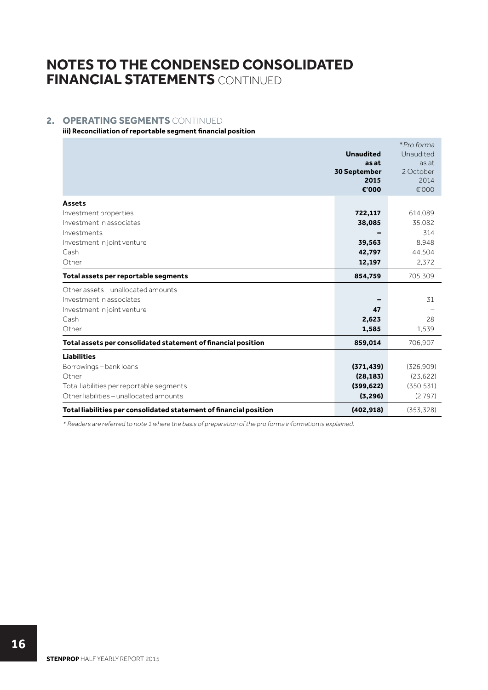## **2. OPERATING SEGMENTS** CONTINUED

### **iii) Reconciliation of reportable segment financial position**

|                                                                    | <b>Unaudited</b><br>as at     | *Pro forma<br>Unaudited<br>as at |
|--------------------------------------------------------------------|-------------------------------|----------------------------------|
|                                                                    | 30 September<br>2015<br>€'000 | 2 October<br>2014<br>€'000       |
| <b>Assets</b>                                                      |                               |                                  |
| Investment properties                                              | 722,117                       | 614,089                          |
| Investment in associates                                           | 38,085                        | 35,082                           |
| Investments                                                        |                               | 314                              |
| Investment in joint venture                                        | 39,563                        | 8.948                            |
| Cash                                                               | 42,797                        | 44.504                           |
| Other                                                              | 12,197                        | 2,372                            |
| Total assets per reportable segments                               | 854,759                       | 705.309                          |
| Other assets - unallocated amounts                                 |                               |                                  |
| Investment in associates                                           |                               | 31                               |
| Investment in joint venture                                        | 47                            |                                  |
| Cash                                                               | 2,623                         | 28                               |
| Other                                                              | 1,585                         | 1.539                            |
| Total assets per consolidated statement of financial position      | 859,014                       | 706.907                          |
| <b>Liabilities</b>                                                 |                               |                                  |
| Borrowings - bank loans                                            | (371, 439)                    | (326.909)                        |
| Other                                                              | (28, 183)                     | (23.622)                         |
| Total liabilities per reportable segments                          | (399, 622)                    | (350.531)                        |
| Other liabilities - unallocated amounts                            | (3, 296)                      | (2.797)                          |
| Total liabilities per consolidated statement of financial position | (402, 918)                    | (353, 328)                       |

\* Readers are referred to note 1 where the basis of preparation of the pro forma information is explained.

**STENPROP** HALF YEARLY REPORT 2015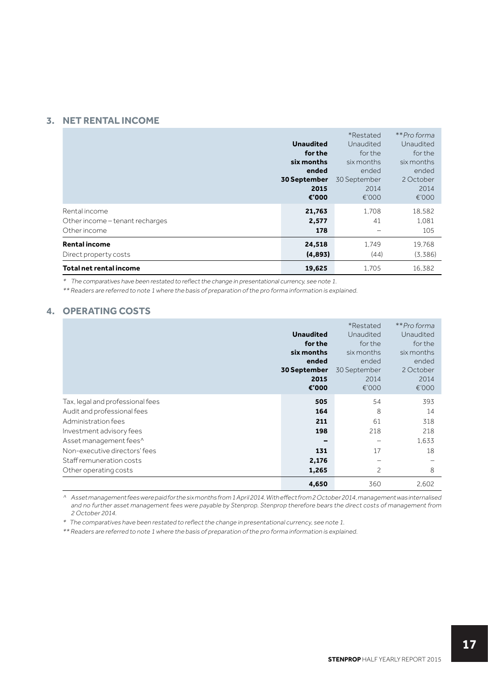## **3. NET RENTAL INCOME**

|                                 |                     | *Restated    | **Pro forma |
|---------------------------------|---------------------|--------------|-------------|
|                                 | <b>Unaudited</b>    | Unaudited    | Unaudited   |
|                                 | for the             | for the      | for the     |
|                                 | six months          | six months   | six months  |
|                                 | ended               | ended        | ended       |
|                                 | <b>30 September</b> | 30 September | 2 October   |
|                                 | 2015                | 2014         | 2014        |
|                                 | €'000               | €'000        | €'000       |
| Rental income                   | 21,763              | 1.708        | 18,582      |
| Other income - tenant recharges | 2,577               | 41           | 1.081       |
| Other income                    | 178                 |              | 105         |
| <b>Rental income</b>            | 24,518              | 1.749        | 19,768      |
| Direct property costs           | (4,893)             | (44)         | (3.386)     |
| Total net rental income         | 19,625              | 1.705        | 16,382      |

\* The comparatives have been restated to reflect the change in presentational currency, see note 1.

\*\* Readers are referred to note 1 where the basis of preparation of the pro forma information is explained.

## **4. OPERATING COSTS**

|                                                                                                                                                                                                                                    | <b>Unaudited</b><br>for the<br>six months<br>ended<br>30 September<br>2015<br>€'000 | *Restated<br>Unaudited<br>for the<br>six months<br>ended<br>30 September<br>2014<br>€'000 | **Pro forma<br>Unaudited<br>for the<br>six months<br>ended<br>2 October<br>2014<br>€'000 |
|------------------------------------------------------------------------------------------------------------------------------------------------------------------------------------------------------------------------------------|-------------------------------------------------------------------------------------|-------------------------------------------------------------------------------------------|------------------------------------------------------------------------------------------|
| Tax, legal and professional fees<br>Audit and professional fees<br>Administration fees<br>Investment advisory fees<br>Asset management fees^<br>Non-executive directors' fees<br>Staff remuneration costs<br>Other operating costs | 505<br>164<br>211<br>198<br>131<br>2,176<br>1,265                                   | 54<br>8<br>61<br>218<br>17<br>2                                                           | 393<br>14<br>318<br>218<br>1.633<br>18<br>8                                              |
|                                                                                                                                                                                                                                    | 4,650                                                                               | 360                                                                                       | 2,602                                                                                    |

^ Asset management fees were paid for the six months from 1 April 2014. With effect from 2 October 2014, management was internalised and no further asset management fees were payable by Stenprop. Stenprop therefore bears the direct costs of management from 2 October 2014.

\* The comparatives have been restated to reflect the change in presentational currency, see note 1.

\*\* Readers are referred to note 1 where the basis of preparation of the pro forma information is explained.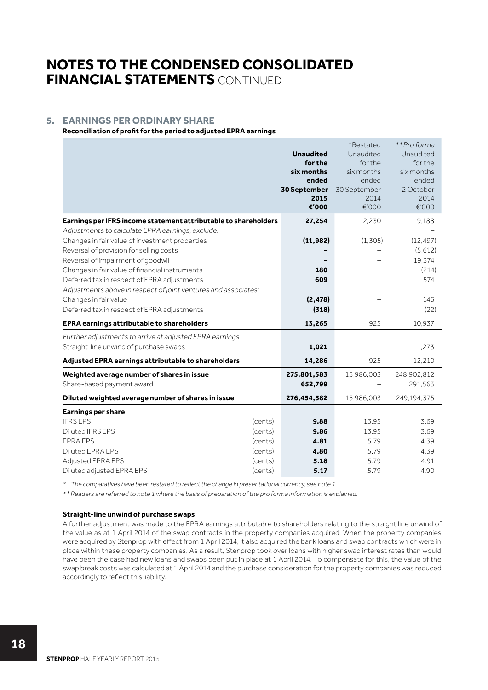## **5. EARNINGS PER ORDINARY SHARE**

**Reconciliation of profit for the period to adjusted EPRA earnings**

|                                                                 |         | <b>Unaudited</b><br>for the<br>six months<br>ended<br>30 September<br>2015<br>€'000 | *Restated<br>Unaudited<br>for the<br>six months<br>ended<br>30 September<br>2014<br>€'000 | **Pro forma<br>Unaudited<br>for the<br>six months<br>ended<br>2 October<br>2014<br>€'000 |
|-----------------------------------------------------------------|---------|-------------------------------------------------------------------------------------|-------------------------------------------------------------------------------------------|------------------------------------------------------------------------------------------|
| Earnings per IFRS income statement attributable to shareholders |         | 27,254                                                                              | 2,230                                                                                     | 9,188                                                                                    |
| Adjustments to calculate EPRA earnings, exclude:                |         |                                                                                     |                                                                                           |                                                                                          |
| Changes in fair value of investment properties                  |         | (11, 982)                                                                           | (1,305)                                                                                   | (12, 497)                                                                                |
| Reversal of provision for selling costs                         |         |                                                                                     |                                                                                           | (5,612)                                                                                  |
| Reversal of impairment of goodwill                              |         |                                                                                     |                                                                                           | 19.374                                                                                   |
| Changes in fair value of financial instruments                  |         | 180                                                                                 |                                                                                           | (214)                                                                                    |
| Deferred tax in respect of EPRA adjustments                     |         | 609                                                                                 |                                                                                           | 574                                                                                      |
| Adjustments above in respect of joint ventures and associates:  |         |                                                                                     |                                                                                           |                                                                                          |
| Changes in fair value                                           |         | (2, 478)                                                                            |                                                                                           | 146                                                                                      |
| Deferred tax in respect of EPRA adjustments                     |         | (318)                                                                               |                                                                                           | (22)                                                                                     |
| EPRA earnings attributable to shareholders                      |         | 13,265                                                                              | 925                                                                                       | 10.937                                                                                   |
| Further adjustments to arrive at adjusted EPRA earnings         |         |                                                                                     |                                                                                           |                                                                                          |
| Straight-line unwind of purchase swaps                          |         | 1,021                                                                               |                                                                                           | 1,273                                                                                    |
| Adjusted EPRA earnings attributable to shareholders             |         | 14,286                                                                              | 925                                                                                       | 12,210                                                                                   |
| Weighted average number of shares in issue                      |         | 275,801,583                                                                         | 15,986,003                                                                                | 248,902,812                                                                              |
| Share-based payment award                                       |         | 652,799                                                                             |                                                                                           | 291,563                                                                                  |
| Diluted weighted average number of shares in issue              |         | 276,454,382                                                                         | 15,986,003                                                                                | 249,194,375                                                                              |
| <b>Earnings per share</b>                                       |         |                                                                                     |                                                                                           |                                                                                          |
| <b>IFRS EPS</b>                                                 | (cents) | 9.88                                                                                | 13.95                                                                                     | 3.69                                                                                     |
| <b>Diluted IFRS EPS</b>                                         | (cents) | 9.86                                                                                | 13.95                                                                                     | 3.69                                                                                     |
| <b>EPRAEPS</b>                                                  | (cents) | 4.81                                                                                | 5.79                                                                                      | 4.39                                                                                     |
| Diluted EPRA EPS                                                | (cents) | 4.80                                                                                | 5.79                                                                                      | 4.39                                                                                     |
| Adjusted EPRA EPS                                               | (cents) | 5.18                                                                                | 5.79                                                                                      | 4.91                                                                                     |
| Diluted adjusted EPRA EPS                                       | (cents) | 5.17                                                                                | 5.79                                                                                      | 4.90                                                                                     |

\* The comparatives have been restated to reflect the change in presentational currency, see note 1.

\*\* Readers are referred to note 1 where the basis of preparation of the pro forma information is explained.

#### **Straight-line unwind of purchase swaps**

A further adjustment was made to the EPRA earnings attributable to shareholders relating to the straight line unwind of the value as at 1 April 2014 of the swap contracts in the property companies acquired. When the property companies were acquired by Stenprop with effect from 1 April 2014, it also acquired the bank loans and swap contracts which were in place within these property companies. As a result, Stenprop took over loans with higher swap interest rates than would have been the case had new loans and swaps been put in place at 1 April 2014. To compensate for this, the value of the swap break costs was calculated at 1 April 2014 and the purchase consideration for the property companies was reduced accordingly to reflect this liability.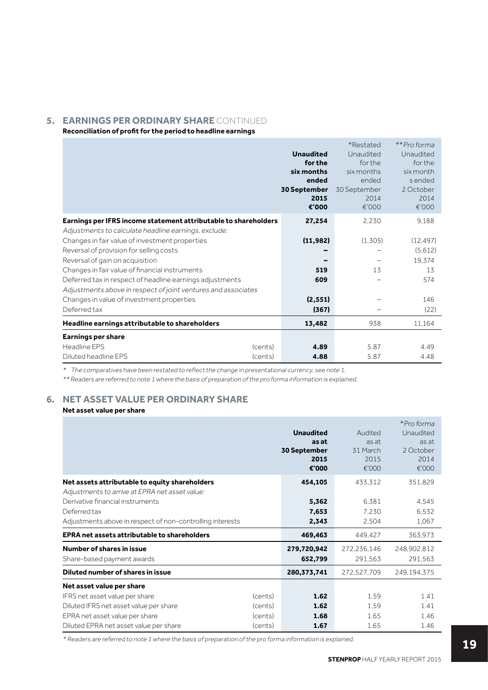## **5. EARNINGS PER ORDINARY SHARE** CONTINUED

**Reconciliation of profit for the period to headline earnings**

|                                                                                                                                                   | <b>Unaudited</b><br>for the<br>six months<br>ended<br><b>30 September</b><br>2015<br>€'000 | *Restated<br>Unaudited<br>for the<br>six months<br>ended<br>30 September<br>2014<br>€'000 | **Pro forma<br>Unaudited<br>for the<br>six month<br>s ended<br>2 October<br>2014<br>€'000 |
|---------------------------------------------------------------------------------------------------------------------------------------------------|--------------------------------------------------------------------------------------------|-------------------------------------------------------------------------------------------|-------------------------------------------------------------------------------------------|
| Earnings per IFRS income statement attributable to shareholders                                                                                   | 27,254                                                                                     | 2,230                                                                                     | 9.188                                                                                     |
| Adjustments to calculate headline earnings, exclude:<br>Changes in fair value of investment properties<br>Reversal of provision for selling costs | (11, 982)                                                                                  | (1,305)                                                                                   | (12, 497)<br>(5,612)                                                                      |
| Reversal of gain on acquisition                                                                                                                   |                                                                                            |                                                                                           | 19.374                                                                                    |
| Changes in fair value of financial instruments                                                                                                    | 519                                                                                        | 13                                                                                        | 13                                                                                        |
| Deferred tax in respect of headline earnings adjustments<br>Adjustments above in respect of joint ventures and associates                         | 609                                                                                        |                                                                                           | 574                                                                                       |
| Changes in value of investment properties                                                                                                         | (2, 551)                                                                                   |                                                                                           | 146                                                                                       |
| Deferred tax                                                                                                                                      | (367)                                                                                      |                                                                                           | (22)                                                                                      |
| Headline earnings attributable to shareholders                                                                                                    | 13,482                                                                                     | 938                                                                                       | 11,164                                                                                    |
| <b>Earnings per share</b>                                                                                                                         |                                                                                            |                                                                                           |                                                                                           |
| Headline EPS<br>(cents)                                                                                                                           | 4.89                                                                                       | 5.87                                                                                      | 4.49                                                                                      |
| Diluted headline EPS<br>(cents)                                                                                                                   | 4.88                                                                                       | 5.87                                                                                      | 4.48                                                                                      |

\* The comparatives have been restated to reflect the change in presentational currency, see note 1.

\*\* Readers are referred to note 1 where the basis of preparation of the pro forma information is explained.

## **6. NET ASSET VALUE PER ORDINARY SHARE**

## **Net asset value per share**

|                                                           |         | <b>Unaudited</b><br>as at<br>30 September<br>2015<br>€'000 | Audited<br>as at<br>31 March<br>2015<br>€'000 | *Pro forma<br>Unaudited<br>as at<br>2 October<br>2014<br>€'000 |
|-----------------------------------------------------------|---------|------------------------------------------------------------|-----------------------------------------------|----------------------------------------------------------------|
| Net assets attributable to equity shareholders            |         | 454,105                                                    | 433.312                                       | 351,829                                                        |
| Adjustments to arrive at EPRA net asset value:            |         |                                                            |                                               |                                                                |
| Derivative financial instruments                          |         | 5,362                                                      | 6.381                                         | 4,545                                                          |
| Deferred tax                                              |         | 7,653                                                      | 7.230                                         | 6,532                                                          |
| Adjustments above in respect of non-controlling interests |         | 2,343                                                      | 2.504                                         | 1.067                                                          |
| <b>EPRA net assets attributable to shareholders</b>       |         | 469,463                                                    | 449,427                                       | 363.973                                                        |
| Number of shares in issue                                 |         | 279,720,942                                                | 272,236,146                                   | 248,902,812                                                    |
| Share-based payment awards                                |         | 652,799                                                    | 291,563                                       | 291,563                                                        |
| Diluted number of shares in issue                         |         | 280,373,741                                                | 272,527,709                                   | 249,194,375                                                    |
| Net asset value per share                                 |         |                                                            |                                               |                                                                |
| IFRS net asset value per share                            | (cents) | 1.62                                                       | 1.59                                          | 1.41                                                           |
| Diluted IFRS net asset value per share                    | (cents) | 1.62                                                       | 1.59                                          | 1.41                                                           |
| EPRA net asset value per share                            | (cents) | 1.68                                                       | 1.65                                          | 1.46                                                           |
| Diluted EPRA net asset value per share                    | (cents) | 1.67                                                       | 1.65                                          | 1.46                                                           |

\* Readers are referred to note 1 where the basis of preparation of the pro forma information is explained.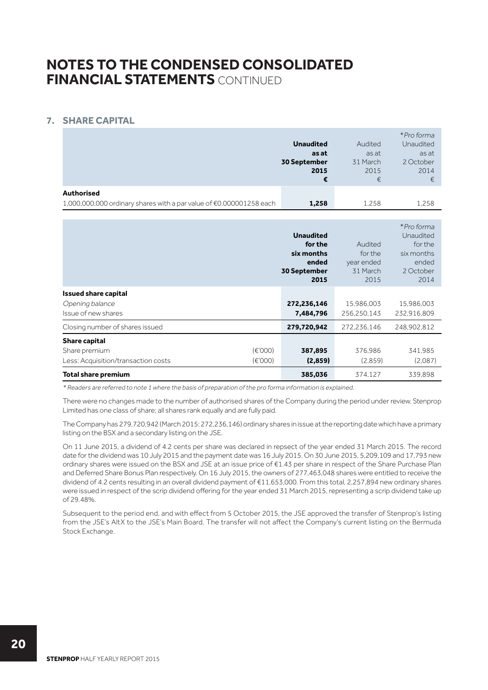## **7. SHARE CAPITAL**

|                                                                     |                  |          | *Pro forma |
|---------------------------------------------------------------------|------------------|----------|------------|
|                                                                     | <b>Unaudited</b> | Audited  | Unaudited  |
|                                                                     | as at            | as at    | as at      |
|                                                                     | 30 September     | 31 March | 2 October  |
|                                                                     | 2015             | 2015     | 2014       |
|                                                                     | €                | €        | €          |
| <b>Authorised</b>                                                   |                  |          |            |
| 1,000,000,000 ordinary shares with a par value of €0.000001258 each | 1,258            | 1.258    | 1,258      |

|                                                                              |                                      | <b>Unaudited</b><br>for the<br>six months<br>ended<br><b>30 September</b><br>2015 | Audited<br>for the<br>year ended<br>31 March<br>2015 | *Pro forma<br>Unaudited<br>for the<br>six months<br>ended<br>2 October<br>2014 |
|------------------------------------------------------------------------------|--------------------------------------|-----------------------------------------------------------------------------------|------------------------------------------------------|--------------------------------------------------------------------------------|
| <b>Issued share capital</b><br>Opening balance<br>Issue of new shares        |                                      | 272,236,146<br>7,484,796                                                          | 15,986,003<br>256,250,143                            | 15,986,003<br>232,916,809                                                      |
| Closing number of shares issued                                              |                                      | 279,720,942                                                                       | 272,236,146                                          | 248,902,812                                                                    |
| <b>Share capital</b><br>Share premium<br>Less: Acquisition/transaction costs | $(\epsilon'000)$<br>$(\epsilon'000)$ | 387,895<br>(2,859)                                                                | 376.986<br>(2.859)                                   | 341,985<br>(2.087)                                                             |
| <b>Total share premium</b>                                                   |                                      | 385,036                                                                           | 374,127                                              | 339.898                                                                        |

\* Readers are referred to note 1 where the basis of preparation of the pro forma information is explained.

There were no changes made to the number of authorised shares of the Company during the period under review. Stenprop Limited has one class of share; all shares rank equally and are fully paid.

The Company has 279,720,942 (March 2015: 272,236,146) ordinary shares in issue at the reporting date which have a primary listing on the BSX and a secondary listing on the JSE.

On 11 June 2015, a dividend of 4.2 cents per share was declared in repsect of the year ended 31 March 2015. The record date for the dividend was 10 July 2015 and the payment date was 16 July 2015. On 30 June 2015, 5,209,109 and 17,793 new ordinary shares were issued on the BSX and JSE at an issue price of €1.43 per share in respect of the Share Purchase Plan and Deferred Share Bonus Plan respectively. On 16 July 2015, the owners of 277,463,048 shares were entitled to receive the dividend of 4.2 cents resulting in an overall dividend payment of €11,653,000. From this total, 2,257,894 new ordinary shares were issued in respect of the scrip dividend offering for the year ended 31 March 2015, representing a scrip dividend take up of 29.48%.

Subsequent to the period end, and with effect from 5 October 2015, the JSE approved the transfer of Stenprop's listing from the JSE's AltX to the JSE's Main Board. The transfer will not affect the Company's current listing on the Bermuda Stock Exchange.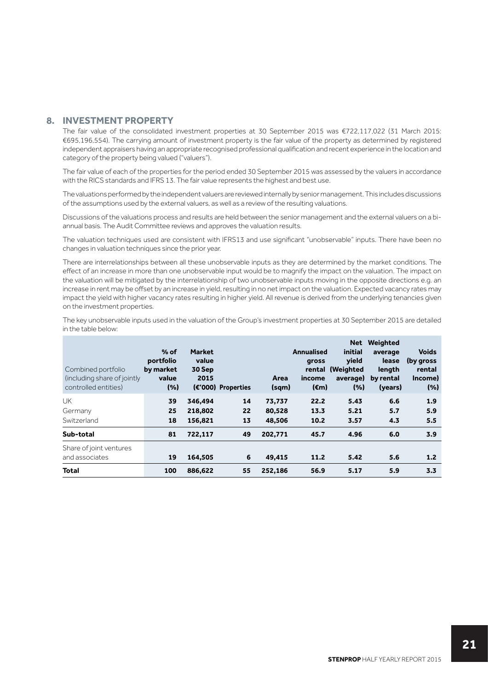## **8. INVESTMENT PROPERTY**

The fair value of the consolidated investment properties at 30 September 2015 was €722,117,022 (31 March 2015: €695,196,554). The carrying amount of investment property is the fair value of the property as determined by registered independent appraisers having an appropriate recognised professional qualification and recent experience in the location and category of the property being valued ("valuers").

The fair value of each of the properties for the period ended 30 September 2015 was assessed by the valuers in accordance with the RICS standards and IFRS 13. The fair value represents the highest and best use.

The valuations performed by the independent valuers are reviewed internally by senior management. This includes discussions of the assumptions used by the external valuers, as well as a review of the resulting valuations.

Discussions of the valuations process and results are held between the senior management and the external valuers on a biannual basis. The Audit Committee reviews and approves the valuation results.

The valuation techniques used are consistent with IFRS13 and use significant "unobservable" inputs. There have been no changes in valuation techniques since the prior year.

There are interrelationships between all these unobservable inputs as they are determined by the market conditions. The effect of an increase in more than one unobservable input would be to magnify the impact on the valuation. The impact on the valuation will be mitigated by the interrelationship of two unobservable inputs moving in the opposite directions e.g. an increase in rent may be offset by an increase in yield, resulting in no net impact on the valuation. Expected vacancy rates may impact the yield with higher vacancy rates resulting in higher yield. All revenue is derived from the underlying tenancies given on the investment properties.

The key unobservable inputs used in the valuation of the Group's investment properties at 30 September 2015 are detailed in the table below:

| Combined portfolio<br>(including share of jointly<br>controlled entities) | $%$ of<br>portfolio<br>by market<br>value<br>(%) | <b>Market</b><br>value<br>30 Sep<br>2015 | (€'000) Properties | Area<br>(sqm)              | <b>Annualised</b><br>gross<br>rental<br>income<br>$(\epsilon m)$ | <b>Net</b><br>initial<br><b>vield</b><br>(Weighted<br>average)<br>(%) | Weighted<br>average<br>lease<br>length<br>by rental<br>(years) | <b>Voids</b><br>(by gross)<br>rental<br>Income)<br>(% ) |
|---------------------------------------------------------------------------|--------------------------------------------------|------------------------------------------|--------------------|----------------------------|------------------------------------------------------------------|-----------------------------------------------------------------------|----------------------------------------------------------------|---------------------------------------------------------|
| UK<br>Germany<br>Switzerland                                              | 39<br>25<br>18                                   | 346,494<br>218,802<br>156,821            | 14<br>22<br>13     | 73,737<br>80,528<br>48,506 | 22.2<br>13.3<br>10.2                                             | 5.43<br>5.21<br>3.57                                                  | 6.6<br>5.7<br>4.3                                              | 1.9<br>5.9<br>5.5                                       |
| Sub-total                                                                 | 81                                               | 722,117                                  | 49                 | 202,771                    | 45.7                                                             | 4.96                                                                  | 6.0                                                            | 3.9                                                     |
| Share of joint ventures<br>and associates                                 | 19                                               | 164,505                                  | 6                  | 49,415                     | 11.2                                                             | 5.42                                                                  | 5.6                                                            | 1.2 <sub>2</sub>                                        |
| <b>Total</b>                                                              | 100                                              | 886,622                                  | 55                 | 252,186                    | 56.9                                                             | 5.17                                                                  | 5.9                                                            | 3.3                                                     |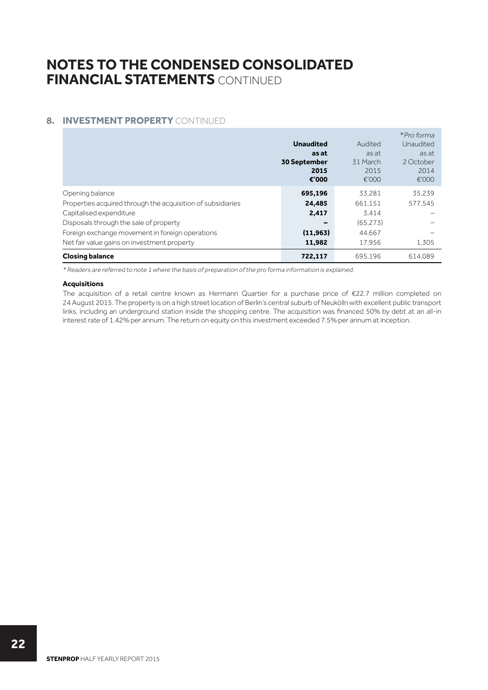## **8. INVESTMENT PROPERTY CONTINUED**

|                                                             |                     |          | *Pro forma |
|-------------------------------------------------------------|---------------------|----------|------------|
|                                                             | <b>Unaudited</b>    | Audited  | Unaudited  |
|                                                             | as at               | as at    | as at      |
|                                                             | <b>30 September</b> | 31 March | 2 October  |
|                                                             | 2015                | 2015     | 2014       |
|                                                             | €'000               | €'000    | €'000      |
| Opening balance                                             | 695,196             | 33.281   | 35.239     |
| Properties acquired through the acquisition of subsidiaries | 24,485              | 661.151  | 577.545    |
| Capitalised expenditure                                     | 2,417               | 3.414    |            |
| Disposals through the sale of property                      | -                   | (65.273) |            |
| Foreign exchange movement in foreign operations             | (11, 963)           | 44.667   |            |
| Net fair value gains on investment property                 | 11,982              | 17.956   | 1.305      |
| <b>Closing balance</b>                                      | 722,117             | 695.196  | 614.089    |

\* Readers are referred to note 1 where the basis of preparation of the pro forma information is explained.

## **Acquisitions**

The acquisition of a retail centre known as Hermann Quartier for a purchase price of €22.7 million completed on 24 August 2015. The property is on a high street location of Berlin's central suburb of Neukölln with excellent public transport links, including an underground station inside the shopping centre. The acquisition was financed 50% by debt at an all-in interest rate of 1.42% per annum. The return on equity on this investment exceeded 7.5% per annum at inception.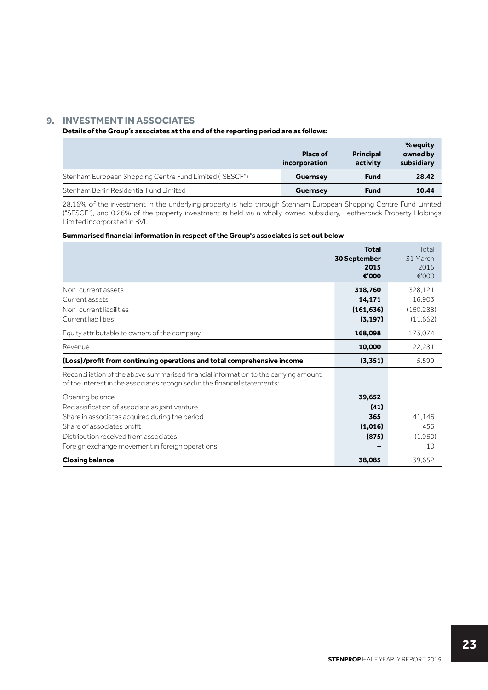## **9. INVESTMENT IN ASSOCIATES**

### **Details of the Group's associates at the end of the reporting period are as follows:**

|                                                         | <b>Place of</b><br>incorporation | <b>Principal</b><br>activity | % equity<br>owned by<br>subsidiary |
|---------------------------------------------------------|----------------------------------|------------------------------|------------------------------------|
| Stenham European Shopping Centre Fund Limited ("SESCF") | <b>Guernsey</b>                  | <b>Fund</b>                  | 28.42                              |
| Stenham Berlin Residential Fund Limited                 | <b>Guernsey</b>                  | <b>Fund</b>                  | 10.44                              |

28.16% of the investment in the underlying property is held through Stenham European Shopping Centre Fund Limited ("SESCF"), and 0.26% of the property investment is held via a wholly-owned subsidiary, Leatherback Property Holdings Limited incorporated in BVI.

### **Summarised financial information in respect of the Group's associates is set out below**

|                                                                                                                                                                                                                                               | <b>Total</b><br>30 September<br>2015<br>€'000 | Total<br>31 March<br>2015<br>€'000         |
|-----------------------------------------------------------------------------------------------------------------------------------------------------------------------------------------------------------------------------------------------|-----------------------------------------------|--------------------------------------------|
| Non-current assets<br>Current assets<br>Non-current liabilities<br>Current liabilities                                                                                                                                                        | 318,760<br>14,171<br>(161, 636)<br>(3, 197)   | 328.121<br>16.903<br>(160.288)<br>(11,662) |
| Equity attributable to owners of the company                                                                                                                                                                                                  | 168,098                                       | 173,074                                    |
| Revenue                                                                                                                                                                                                                                       | 10,000                                        | 22,281                                     |
| (Loss)/profit from continuing operations and total comprehensive income                                                                                                                                                                       | (3,351)                                       | 5.599                                      |
| Reconciliation of the above summarised financial information to the carrying amount<br>of the interest in the associates recognised in the financial statements:                                                                              |                                               |                                            |
| Opening balance<br>Reclassification of associate as joint venture<br>Share in associates acquired during the period<br>Share of associates profit<br>Distribution received from associates<br>Foreign exchange movement in foreign operations | 39,652<br>(41)<br>365<br>(1,016)<br>(875)     | 41.146<br>456<br>(1.960)<br>10             |
| <b>Closing balance</b>                                                                                                                                                                                                                        | 38,085                                        | 39.652                                     |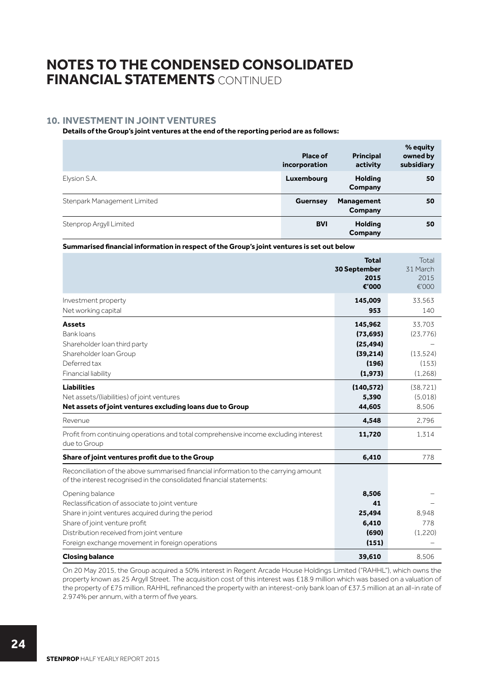## **10. INVESTMENT IN JOINT VENTURES**

### **Details of the Group's joint ventures at the end of the reporting period are as follows:**

|                             | Place of<br>incorporation | <b>Principal</b><br>activity | % equity<br>owned by<br>subsidiary |
|-----------------------------|---------------------------|------------------------------|------------------------------------|
| Elysion S.A.                | Luxembourg                | <b>Holding</b><br>Company    | 50                                 |
| Stenpark Management Limited | <b>Guernsey</b>           | <b>Management</b><br>Company | 50                                 |
| Stenprop Argyll Limited     | <b>BVI</b>                | <b>Holding</b><br>Company    | 50                                 |

**Summarised financial information in respect of the Group's joint ventures is set out below**

|                                                                                                                                                             | <b>Total</b><br>30 September<br>2015<br>€'000 | Total<br>31 March<br>2015<br>€'000 |
|-------------------------------------------------------------------------------------------------------------------------------------------------------------|-----------------------------------------------|------------------------------------|
| Investment property                                                                                                                                         | 145,009                                       | 33.563                             |
| Net working capital                                                                                                                                         | 953                                           | 140                                |
| <b>Assets</b>                                                                                                                                               | 145,962                                       | 33,703                             |
| <b>Bank loans</b>                                                                                                                                           | (73, 695)                                     | (23, 776)                          |
| Shareholder loan third party                                                                                                                                | (25, 494)                                     |                                    |
| Shareholder Ioan Group                                                                                                                                      | (39, 214)                                     | (13, 524)                          |
| Deferred tax                                                                                                                                                | (196)                                         | (153)                              |
| Financial liability                                                                                                                                         | (1, 973)                                      | (1,268)                            |
| <b>Liabilities</b>                                                                                                                                          | (140, 572)                                    | (38, 721)                          |
| Net assets/(liabilities) of joint ventures                                                                                                                  | 5,390                                         | (5.018)                            |
| Net assets of joint ventures excluding loans due to Group                                                                                                   | 44,605                                        | 8.506                              |
| Revenue                                                                                                                                                     | 4,548                                         | 2.796                              |
| Profit from continuing operations and total comprehensive income excluding interest<br>due to Group                                                         | 11,720                                        | 1.314                              |
| Share of joint ventures profit due to the Group                                                                                                             | 6,410                                         | 778                                |
| Reconciliation of the above summarised financial information to the carrying amount<br>of the interest recognised in the consolidated financial statements: |                                               |                                    |
| Opening balance                                                                                                                                             | 8,506                                         |                                    |
| Reclassification of associate to joint venture                                                                                                              | 41                                            |                                    |
| Share in joint ventures acquired during the period                                                                                                          | 25,494                                        | 8.948                              |
| Share of joint venture profit                                                                                                                               | 6,410                                         | 778                                |
| Distribution received from joint venture                                                                                                                    | (690)                                         | (1,220)                            |
| Foreign exchange movement in foreign operations                                                                                                             | (151)                                         |                                    |
| <b>Closing balance</b>                                                                                                                                      | 39.610                                        | 8.506                              |

On 20 May 2015, the Group acquired a 50% interest in Regent Arcade House Holdings Limited ("RAHHL"), which owns the property known as 25 Argyll Street. The acquisition cost of this interest was £18.9 million which was based on a valuation of the property of £75 million. RAHHL refinanced the property with an interest-only bank loan of £37.5 million at an all-in rate of 2.974% per annum, with a term of five years.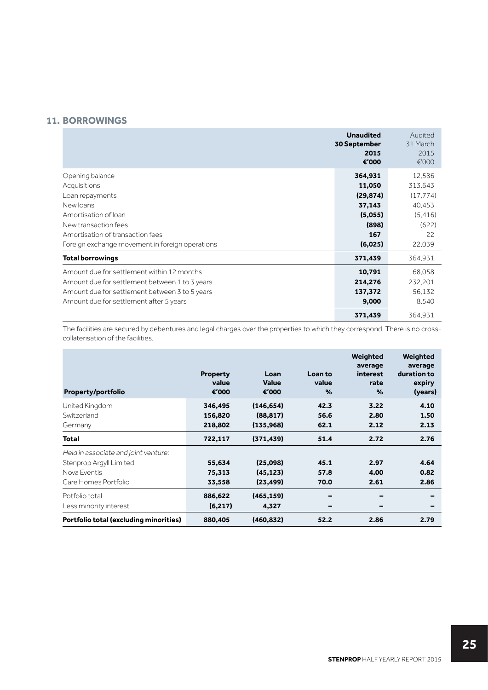## **11. BORROWINGS**

|                                                 | <b>Unaudited</b><br>30 September<br>2015<br>€'000 | Audited<br>31 March<br>2015<br>€'000 |
|-------------------------------------------------|---------------------------------------------------|--------------------------------------|
| Opening balance                                 | 364,931                                           | 12,586                               |
| Acquisitions                                    | 11,050                                            | 313.643                              |
| Loan repayments                                 | (29, 874)                                         | (17, 774)                            |
| New loans                                       | 37,143                                            | 40.453                               |
| Amortisation of loan                            | (5,055)                                           | (5.416)                              |
| New transaction fees                            | (898)                                             | (622)                                |
| Amortisation of transaction fees                | 167                                               | 22                                   |
| Foreign exchange movement in foreign operations | (6,025)                                           | 22,039                               |
| <b>Total borrowings</b>                         | 371,439                                           | 364,931                              |
| Amount due for settlement within 12 months      | 10,791                                            | 68.058                               |
| Amount due for settlement between 1 to 3 years  | 214,276                                           | 232,201                              |
| Amount due for settlement between 3 to 5 years  | 137,372                                           | 56,132                               |
| Amount due for settlement after 5 years         | 9,000                                             | 8.540                                |
|                                                 | 371,439                                           | 364.931                              |

The facilities are secured by debentures and legal charges over the properties to which they correspond. There is no crosscollaterisation of the facilities.

| Property/portfolio                                                                                      | <b>Property</b><br>value<br>€'000 | Loan<br><b>Value</b><br>€'000        | Loan to<br>value<br>% | Weighted<br>average<br>interest<br>rate<br>% | Weighted<br>average<br>duration to<br>expiry<br>(years) |
|---------------------------------------------------------------------------------------------------------|-----------------------------------|--------------------------------------|-----------------------|----------------------------------------------|---------------------------------------------------------|
| United Kingdom<br>Switzerland<br>Germany                                                                | 346,495<br>156,820<br>218,802     | (146, 654)<br>(88, 817)<br>(135,968) | 42.3<br>56.6<br>62.1  | 3.22<br>2.80<br>2.12                         | 4.10<br>1.50<br>2.13                                    |
| <b>Total</b>                                                                                            | 722,117                           | (371, 439)                           | 51.4                  | 2.72                                         | 2.76                                                    |
| Held in associate and joint venture:<br>Stenprop Argyll Limited<br>Nova Eventis<br>Care Homes Portfolio | 55,634<br>75,313<br>33,558        | (25,098)<br>(45, 123)<br>(23, 499)   | 45.1<br>57.8<br>70.0  | 2.97<br>4.00<br>2.61                         | 4.64<br>0.82<br>2.86                                    |
| Potfolio total<br>Less minority interest                                                                | 886,622<br>(6,217)                | (465,159)<br>4,327                   | -<br>-                |                                              |                                                         |
| Portfolio total (excluding minorities)                                                                  | 880,405                           | (460,832)                            | 52.2                  | 2.86                                         | 2.79                                                    |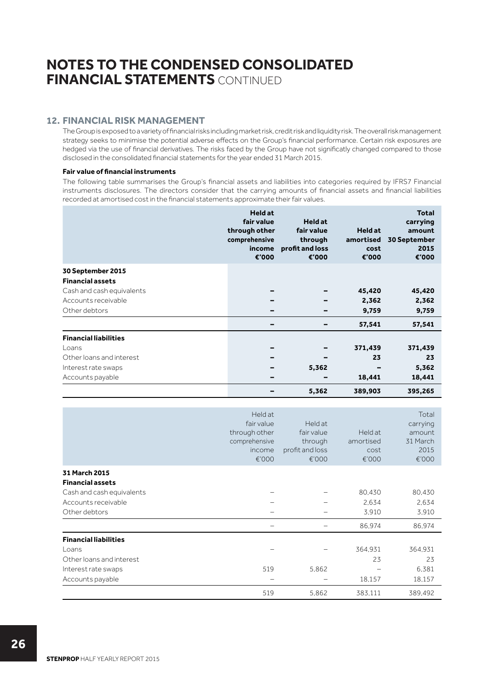## **12. FINANCIAL RISK MANAGEMENT**

The Group is exposed to a variety of financial risks including market risk, credit risk and liquidity risk. The overall risk management strategy seeks to minimise the potential adverse effects on the Group's financial performance. Certain risk exposures are hedged via the use of financial derivatives. The risks faced by the Group have not significatly changed compared to those disclosed in the consolidated financial statements for the year ended 31 March 2015.

### **Fair value of financial instruments**

The following table summarises the Group's financial assets and liabilities into categories required by IFRS7 Financial instruments disclosures. The directors consider that the carrying amounts of financial assets and financial liabilities recorded at amortised cost in the financial statements approximate their fair values.

|                              | <b>Held at</b><br>fair value<br>through other<br>comprehensive<br>income<br>€'000 | <b>Held at</b><br>fair value<br>through<br>profit and loss<br>€'000 | <b>Held at</b><br>amortised<br>cost<br>€'000 | <b>Total</b><br>carrying<br>amount<br>30 September<br>2015<br>€'000 |
|------------------------------|-----------------------------------------------------------------------------------|---------------------------------------------------------------------|----------------------------------------------|---------------------------------------------------------------------|
| 30 September 2015            |                                                                                   |                                                                     |                                              |                                                                     |
| <b>Financial assets</b>      |                                                                                   |                                                                     |                                              |                                                                     |
| Cash and cash equivalents    |                                                                                   |                                                                     | 45,420                                       | 45,420                                                              |
| Accounts receivable          |                                                                                   |                                                                     | 2,362                                        | 2,362                                                               |
| Other debtors                |                                                                                   |                                                                     | 9,759                                        | 9,759                                                               |
|                              |                                                                                   |                                                                     | 57,541                                       | 57,541                                                              |
| <b>Financial liabilities</b> |                                                                                   |                                                                     |                                              |                                                                     |
| Loans                        |                                                                                   |                                                                     | 371,439                                      | 371,439                                                             |
| Other loans and interest     |                                                                                   |                                                                     | 23                                           | 23                                                                  |
| Interest rate swaps          |                                                                                   | 5,362                                                               |                                              | 5,362                                                               |
| Accounts payable             |                                                                                   | -                                                                   | 18,441                                       | 18,441                                                              |
|                              |                                                                                   | 5,362                                                               | 389,903                                      | 395,265                                                             |

|                              | Held at<br>fair value<br>through other<br>comprehensive<br>income<br>€'000 | Held at<br>fair value<br>through<br>profit and loss<br>€'000 | Held at<br>amortised<br>cost<br>€'000 | Total<br>carrying<br>amount<br>31 March<br>2015<br>€'000 |
|------------------------------|----------------------------------------------------------------------------|--------------------------------------------------------------|---------------------------------------|----------------------------------------------------------|
| 31 March 2015                |                                                                            |                                                              |                                       |                                                          |
| <b>Financial assets</b>      |                                                                            |                                                              |                                       |                                                          |
| Cash and cash equivalents    |                                                                            |                                                              | 80,430                                | 80,430                                                   |
| Accounts receivable          |                                                                            |                                                              | 2.634                                 | 2.634                                                    |
| Other debtors                |                                                                            |                                                              | 3.910                                 | 3.910                                                    |
|                              |                                                                            |                                                              | 86.974                                | 86,974                                                   |
| <b>Financial liabilities</b> |                                                                            |                                                              |                                       |                                                          |
| Loans                        |                                                                            |                                                              | 364.931                               | 364,931                                                  |
| Other loans and interest     |                                                                            |                                                              | 23                                    | 23                                                       |
| Interest rate swaps          | 519                                                                        | 5.862                                                        |                                       | 6.381                                                    |
| Accounts payable             |                                                                            |                                                              | 18,157                                | 18,157                                                   |
|                              | 519                                                                        | 5,862                                                        | 383.111                               | 389,492                                                  |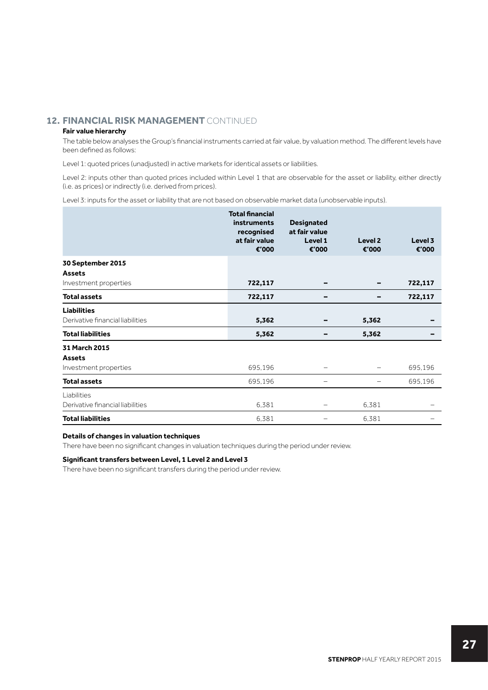## **12. FINANCIAL RISK MANAGEMENT** CONTINUED

## **Fair value hierarchy**

The table below analyses the Group's financial instruments carried at fair value, by valuation method. The different levels have been defined as follows:

Level 1: quoted prices (unadjusted) in active markets for identical assets or liabilities.

Level 2: inputs other than quoted prices included within Level 1 that are observable for the asset or liability, either directly (i.e. as prices) or indirectly (i.e. derived from prices).

Level 3: inputs for the asset or liability that are not based on observable market data (unobservable inputs).

|                                                         | <b>Total financial</b><br><b>instruments</b><br>recognised<br>at fair value<br>€'000 | <b>Designated</b><br>at fair value<br>Level 1<br>€'000 | Level <sub>2</sub><br>€'000 | Level 3<br>€'000 |
|---------------------------------------------------------|--------------------------------------------------------------------------------------|--------------------------------------------------------|-----------------------------|------------------|
| 30 September 2015                                       |                                                                                      |                                                        |                             |                  |
| <b>Assets</b><br>Investment properties                  | 722,117                                                                              |                                                        |                             | 722,117          |
| <b>Total assets</b>                                     | 722,117                                                                              |                                                        |                             | 722,117          |
| <b>Liabilities</b><br>Derivative financial liabilities  | 5,362                                                                                |                                                        | 5,362                       |                  |
| <b>Total liabilities</b>                                | 5,362                                                                                |                                                        | 5,362                       |                  |
| 31 March 2015<br><b>Assets</b><br>Investment properties | 695,196                                                                              |                                                        | -                           | 695,196          |
| <b>Total assets</b>                                     | 695,196                                                                              |                                                        |                             | 695,196          |
| Liabilities                                             |                                                                                      |                                                        |                             |                  |
| Derivative financial liabilities                        | 6,381                                                                                | -                                                      | 6,381                       |                  |
| <b>Total liabilities</b>                                | 6.381                                                                                |                                                        | 6.381                       |                  |

#### **Details of changes in valuation techniques**

There have been no significant changes in valuation techniques during the period under review.

#### **Significant transfers between Level, 1 Level 2 and Level 3**

There have been no significant transfers during the period under review.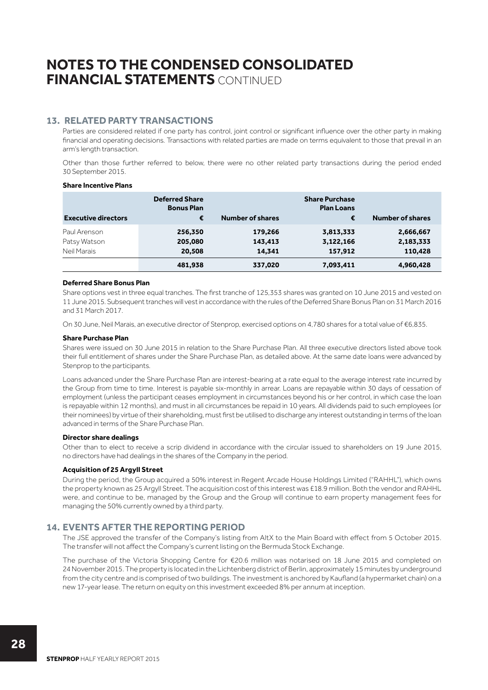## **13. RELATED PARTY TRANSACTIONS**

Parties are considered related if one party has control, joint control or significant influence over the other party in making financial and operating decisions. Transactions with related parties are made on terms equivalent to those that prevail in an arm's length transaction.

Other than those further referred to below, there were no other related party transactions during the period ended 30 September 2015.

#### **Share Incentive Plans**

| <b>Executive directors</b> | <b>Deferred Share</b><br><b>Bonus Plan</b><br>€ | <b>Number of shares</b> | <b>Share Purchase</b><br><b>Plan Loans</b><br>€ | <b>Number of shares</b> |
|----------------------------|-------------------------------------------------|-------------------------|-------------------------------------------------|-------------------------|
| Paul Arenson               | 256,350                                         | 179,266                 | 3,813,333                                       | 2,666,667               |
| Patsy Watson               | 205,080                                         | 143,413                 | 3,122,166                                       | 2,183,333               |
| Neil Marais                | 20,508                                          | 14.341                  | 157,912                                         | 110,428                 |
|                            | 481,938                                         | 337,020                 | 7,093,411                                       | 4,960,428               |

### **Deferred Share Bonus Plan**

Share options vest in three equal tranches. The first tranche of 125,353 shares was granted on 10 June 2015 and vested on 11 June 2015. Subsequent tranches will vest in accordance with the rules of the Deferred Share Bonus Plan on 31 March 2016 and 31 March 2017.

On 30 June, Neil Marais, an executive director of Stenprop, exercised options on 4,780 shares for a total value of €6,835.

### **Share Purchase Plan**

Shares were issued on 30 June 2015 in relation to the Share Purchase Plan. All three executive directors listed above took their full entitlement of shares under the Share Purchase Plan, as detailed above. At the same date loans were advanced by Stenprop to the participants.

Loans advanced under the Share Purchase Plan are interest-bearing at a rate equal to the average interest rate incurred by the Group from time to time. Interest is payable six-monthly in arrear. Loans are repayable within 30 days of cessation of employment (unless the participant ceases employment in circumstances beyond his or her control, in which case the loan is repayable within 12 months), and must in all circumstances be repaid in 10 years. All dividends paid to such employees (or their nominees) by virtue of their shareholding, must first be utilised to discharge any interest outstanding in terms of the loan advanced in terms of the Share Purchase Plan.

### **Director share dealings**

Other than to elect to receive a scrip dividend in accordance with the circular issued to shareholders on 19 June 2015, no directors have had dealings in the shares of the Company in the period.

### **Acquisition of 25 Argyll Street**

During the period, the Group acquired a 50% interest in Regent Arcade House Holdings Limited ("RAHHL"), which owns the property known as 25 Argyll Street. The acquisition cost of this interest was £18.9 million. Both the vendor and RAHHL were, and continue to be, managed by the Group and the Group will continue to earn property management fees for managing the 50% currently owned by a third party.

## **14. EVENTS AFTER THE REPORTING PERIOD**

The JSE approved the transfer of the Company's listing from AltX to the Main Board with effect from 5 October 2015. The transfer will not affect the Company's current listing on the Bermuda Stock Exchange.

The purchase of the Victoria Shopping Centre for €20.6 million was notarised on 18 June 2015 and completed on 24 November 2015. The property is located in the Lichtenberg district of Berlin, approximately 15 minutes by underground from the city centre and is comprised of two buildings. The investment is anchored by Kaufland (a hypermarket chain) on a new 17-year lease. The return on equity on this investment exceeded 8% per annum at inception.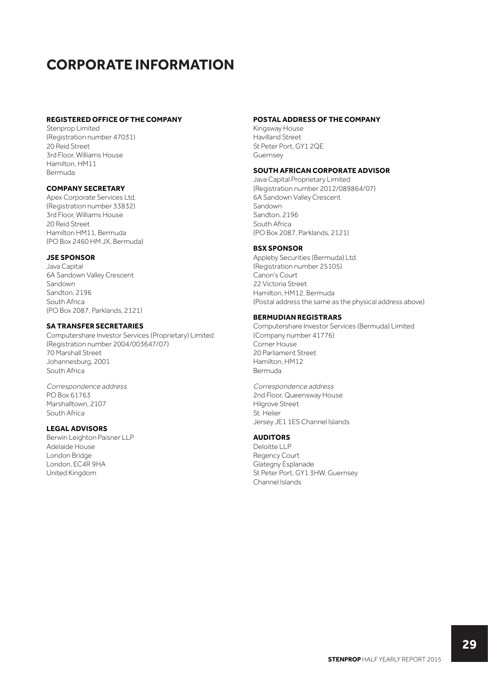## **CORPORATE INFORMATION**

### **REGISTERED OFFICE OF THE COMPANY**

Stenprop Limited (Registration number 47031) 20 Reid Street 3rd Floor, Williams House Hamilton, HM11 Bermuda

### **COMPANY SECRETARY**

Apex Corporate Services Ltd. (Registration number 33832) 3rd Floor, Williams House 20 Reid Street Hamilton HM11, Bermuda (PO Box 2460 HM JX, Bermuda)

#### **JSE SPONSOR**

Java Capital 6A Sandown Valley Crescent Sandown Sandton, 2196 South Africa (PO Box 2087, Parklands, 2121)

### **SA TRANSFER SECRETARIES**

Computershare Investor Services (Proprietary) Limited (Registration number 2004/003647/07) 70 Marshall Street Johannesburg, 2001 South Africa

Correspondence address PO Box 61763 Marshalltown, 2107 South Africa

## **LEGAL ADVISORS**

Berwin Leighton Paisner LLP Adelaide House London Bridge London, EC4R 9HA United Kingdom

#### **POSTAL ADDRESS OF THE COMPANY**

Kingsway House Havilland Street St Peter Port, GY1 2QE Guernsey

## **SOUTH AFRICAN CORPORATE ADVISOR**

Java Capital Proprietary Limited (Registration number 2012/089864/07) 6A Sandown Valley Crescent Sandown Sandton, 2196 South Africa (PO Box 2087, Parklands, 2121)

### **BSX SPONSOR**

Appleby Securities (Bermuda) Ltd. (Registration number 25105) Canon's Court 22 Victoria Street Hamilton, HM12, Bermuda (Postal address the same as the physical address above)

#### **BERMUDIAN REGISTRARS**

Computershare Investor Services (Bermuda) Limited (Company number 41776) Corner House 20 Parliament Street Hamilton, HM12 Bermuda

Correspondence address 2nd Floor, Queensway House Hilgrove Street St. Helier Jersey JE1 1ES Channel Islands

### **AUDITORS**

Deloitte LLP Regency Court Glategny Esplanade St Peter Port, GY1 3HW, Guernsey Channel Islands